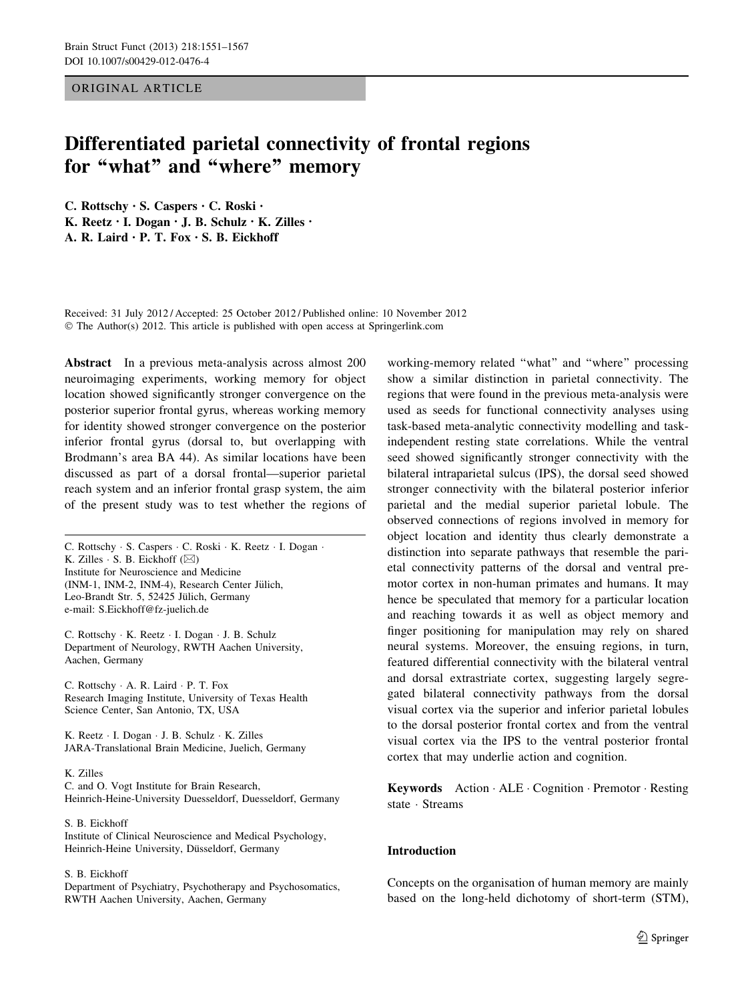ORIGINAL ARTICLE

# Differentiated parietal connectivity of frontal regions for "what" and "where" memory

C. Rottschy • S. Caspers • C. Roski • K. Reetz • I. Dogan • J. B. Schulz • K. Zilles • A. R. Laird • P. T. Fox • S. B. Eickhoff

Received: 31 July 2012 / Accepted: 25 October 2012 / Published online: 10 November 2012 © The Author(s) 2012. This article is published with open access at Springerlink.com

Abstract In a previous meta-analysis across almost 200 neuroimaging experiments, working memory for object location showed significantly stronger convergence on the posterior superior frontal gyrus, whereas working memory for identity showed stronger convergence on the posterior inferior frontal gyrus (dorsal to, but overlapping with Brodmann's area BA 44). As similar locations have been discussed as part of a dorsal frontal—superior parietal reach system and an inferior frontal grasp system, the aim of the present study was to test whether the regions of

C. Rottschy · S. Caspers · C. Roski · K. Reetz · I. Dogan · K. Zilles  $\cdot$  S. B. Eickhoff ( $\boxtimes$ ) Institute for Neuroscience and Medicine (INM-1, INM-2, INM-4), Research Center Jülich, Leo-Brandt Str. 5, 52425 Jülich, Germany e-mail: S.Eickhoff@fz-juelich.de

C. Rottschy - K. Reetz - I. Dogan - J. B. Schulz Department of Neurology, RWTH Aachen University, Aachen, Germany

C. Rottschy - A. R. Laird - P. T. Fox Research Imaging Institute, University of Texas Health Science Center, San Antonio, TX, USA

K. Reetz - I. Dogan - J. B. Schulz - K. Zilles JARA-Translational Brain Medicine, Juelich, Germany

#### K. Zilles

C. and O. Vogt Institute for Brain Research, Heinrich-Heine-University Duesseldorf, Duesseldorf, Germany

S. B. Eickhoff Institute of Clinical Neuroscience and Medical Psychology, Heinrich-Heine University, Düsseldorf, Germany

#### S. B. Eickhoff

Department of Psychiatry, Psychotherapy and Psychosomatics, RWTH Aachen University, Aachen, Germany

working-memory related ''what'' and ''where'' processing show a similar distinction in parietal connectivity. The regions that were found in the previous meta-analysis were used as seeds for functional connectivity analyses using task-based meta-analytic connectivity modelling and taskindependent resting state correlations. While the ventral seed showed significantly stronger connectivity with the bilateral intraparietal sulcus (IPS), the dorsal seed showed stronger connectivity with the bilateral posterior inferior parietal and the medial superior parietal lobule. The observed connections of regions involved in memory for object location and identity thus clearly demonstrate a distinction into separate pathways that resemble the parietal connectivity patterns of the dorsal and ventral premotor cortex in non-human primates and humans. It may hence be speculated that memory for a particular location and reaching towards it as well as object memory and finger positioning for manipulation may rely on shared neural systems. Moreover, the ensuing regions, in turn, featured differential connectivity with the bilateral ventral and dorsal extrastriate cortex, suggesting largely segregated bilateral connectivity pathways from the dorsal visual cortex via the superior and inferior parietal lobules to the dorsal posterior frontal cortex and from the ventral visual cortex via the IPS to the ventral posterior frontal cortex that may underlie action and cognition.

Keywords Action · ALE · Cognition · Premotor · Resting state - Streams

## Introduction

Concepts on the organisation of human memory are mainly based on the long-held dichotomy of short-term (STM),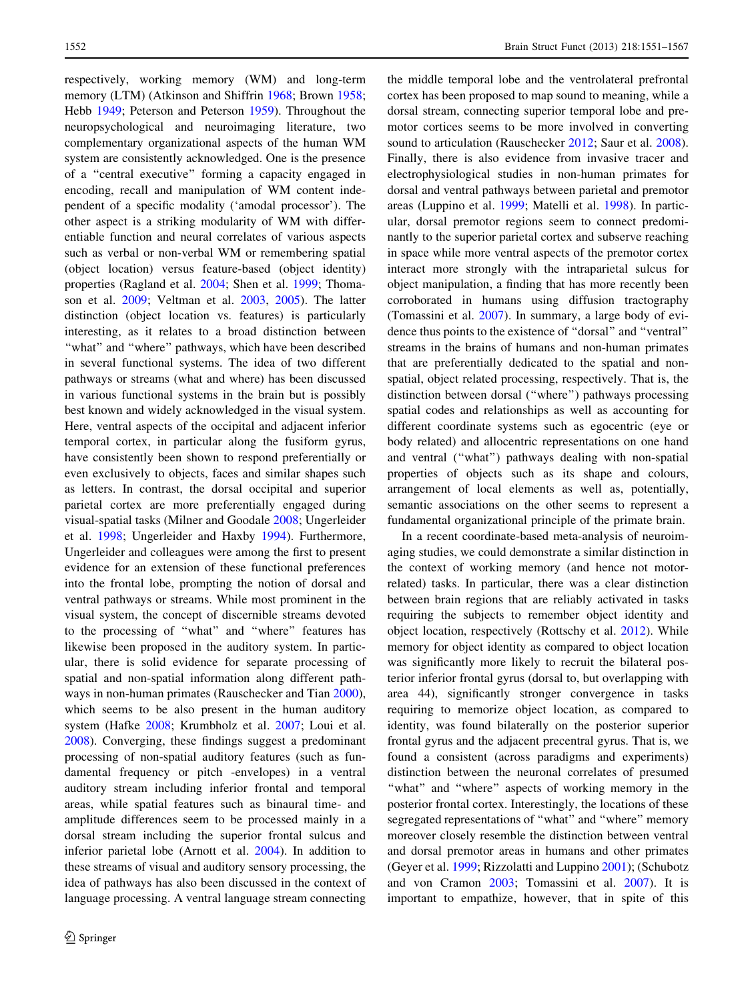respectively, working memory (WM) and long-term memory (LTM) (Atkinson and Shiffrin [1968](#page-14-0); Brown [1958](#page-14-0); Hebb [1949](#page-14-0); Peterson and Peterson [1959\)](#page-15-0). Throughout the neuropsychological and neuroimaging literature, two complementary organizational aspects of the human WM system are consistently acknowledged. One is the presence of a ''central executive'' forming a capacity engaged in encoding, recall and manipulation of WM content independent of a specific modality ('amodal processor'). The other aspect is a striking modularity of WM with differentiable function and neural correlates of various aspects such as verbal or non-verbal WM or remembering spatial (object location) versus feature-based (object identity) properties (Ragland et al. [2004](#page-15-0); Shen et al. [1999](#page-16-0); Thomason et al. [2009](#page-16-0); Veltman et al. [2003](#page-16-0), [2005](#page-16-0)). The latter distinction (object location vs. features) is particularly interesting, as it relates to a broad distinction between "what" and "where" pathways, which have been described in several functional systems. The idea of two different pathways or streams (what and where) has been discussed in various functional systems in the brain but is possibly best known and widely acknowledged in the visual system. Here, ventral aspects of the occipital and adjacent inferior temporal cortex, in particular along the fusiform gyrus, have consistently been shown to respond preferentially or even exclusively to objects, faces and similar shapes such as letters. In contrast, the dorsal occipital and superior parietal cortex are more preferentially engaged during visual-spatial tasks (Milner and Goodale [2008;](#page-15-0) Ungerleider et al. [1998;](#page-16-0) Ungerleider and Haxby [1994](#page-16-0)). Furthermore, Ungerleider and colleagues were among the first to present evidence for an extension of these functional preferences into the frontal lobe, prompting the notion of dorsal and ventral pathways or streams. While most prominent in the visual system, the concept of discernible streams devoted to the processing of ''what'' and ''where'' features has likewise been proposed in the auditory system. In particular, there is solid evidence for separate processing of spatial and non-spatial information along different pathways in non-human primates (Rauschecker and Tian [2000](#page-15-0)), which seems to be also present in the human auditory system (Hafke [2008](#page-14-0); Krumbholz et al. [2007;](#page-15-0) Loui et al. [2008\)](#page-15-0). Converging, these findings suggest a predominant processing of non-spatial auditory features (such as fundamental frequency or pitch -envelopes) in a ventral auditory stream including inferior frontal and temporal areas, while spatial features such as binaural time- and amplitude differences seem to be processed mainly in a dorsal stream including the superior frontal sulcus and inferior parietal lobe (Arnott et al. [2004](#page-14-0)). In addition to these streams of visual and auditory sensory processing, the idea of pathways has also been discussed in the context of language processing. A ventral language stream connecting

the middle temporal lobe and the ventrolateral prefrontal cortex has been proposed to map sound to meaning, while a dorsal stream, connecting superior temporal lobe and premotor cortices seems to be more involved in converting sound to articulation (Rauschecker [2012](#page-15-0); Saur et al. [2008](#page-15-0)). Finally, there is also evidence from invasive tracer and electrophysiological studies in non-human primates for dorsal and ventral pathways between parietal and premotor areas (Luppino et al. [1999;](#page-15-0) Matelli et al. [1998](#page-15-0)). In particular, dorsal premotor regions seem to connect predominantly to the superior parietal cortex and subserve reaching in space while more ventral aspects of the premotor cortex interact more strongly with the intraparietal sulcus for object manipulation, a finding that has more recently been corroborated in humans using diffusion tractography (Tomassini et al. [2007](#page-16-0)). In summary, a large body of evidence thus points to the existence of ''dorsal'' and ''ventral'' streams in the brains of humans and non-human primates that are preferentially dedicated to the spatial and nonspatial, object related processing, respectively. That is, the distinction between dorsal (''where'') pathways processing spatial codes and relationships as well as accounting for different coordinate systems such as egocentric (eye or body related) and allocentric representations on one hand and ventral (''what'') pathways dealing with non-spatial properties of objects such as its shape and colours, arrangement of local elements as well as, potentially, semantic associations on the other seems to represent a fundamental organizational principle of the primate brain.

In a recent coordinate-based meta-analysis of neuroimaging studies, we could demonstrate a similar distinction in the context of working memory (and hence not motorrelated) tasks. In particular, there was a clear distinction between brain regions that are reliably activated in tasks requiring the subjects to remember object identity and object location, respectively (Rottschy et al. [2012](#page-15-0)). While memory for object identity as compared to object location was significantly more likely to recruit the bilateral posterior inferior frontal gyrus (dorsal to, but overlapping with area 44), significantly stronger convergence in tasks requiring to memorize object location, as compared to identity, was found bilaterally on the posterior superior frontal gyrus and the adjacent precentral gyrus. That is, we found a consistent (across paradigms and experiments) distinction between the neuronal correlates of presumed "what" and "where" aspects of working memory in the posterior frontal cortex. Interestingly, the locations of these segregated representations of ''what'' and ''where'' memory moreover closely resemble the distinction between ventral and dorsal premotor areas in humans and other primates (Geyer et al. [1999](#page-14-0); Rizzolatti and Luppino [2001](#page-15-0)); (Schubotz and von Cramon [2003;](#page-16-0) Tomassini et al. [2007](#page-16-0)). It is important to empathize, however, that in spite of this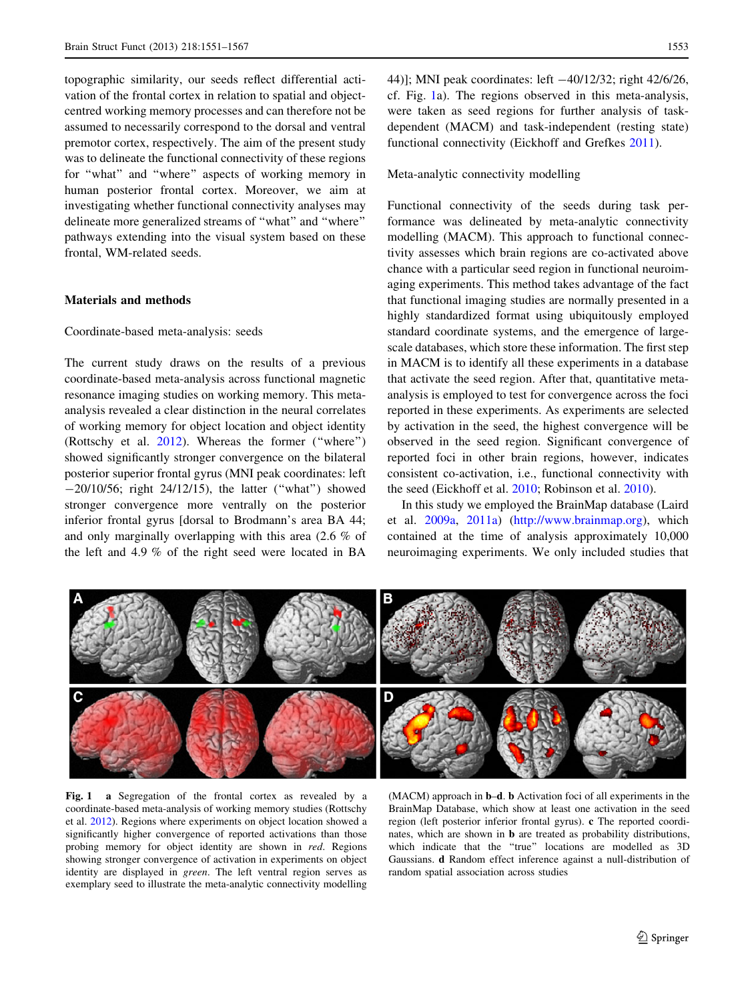<span id="page-2-0"></span>topographic similarity, our seeds reflect differential activation of the frontal cortex in relation to spatial and objectcentred working memory processes and can therefore not be assumed to necessarily correspond to the dorsal and ventral premotor cortex, respectively. The aim of the present study was to delineate the functional connectivity of these regions for ''what'' and ''where'' aspects of working memory in human posterior frontal cortex. Moreover, we aim at investigating whether functional connectivity analyses may delineate more generalized streams of ''what'' and ''where'' pathways extending into the visual system based on these frontal, WM-related seeds.

## Materials and methods

#### Coordinate-based meta-analysis: seeds

The current study draws on the results of a previous coordinate-based meta-analysis across functional magnetic resonance imaging studies on working memory. This metaanalysis revealed a clear distinction in the neural correlates of working memory for object location and object identity (Rottschy et al. [2012\)](#page-15-0). Whereas the former (''where'') showed significantly stronger convergence on the bilateral posterior superior frontal gyrus (MNI peak coordinates: left  $-20/10/56$ ; right  $24/12/15$ ), the latter ("what") showed stronger convergence more ventrally on the posterior inferior frontal gyrus [dorsal to Brodmann's area BA 44; and only marginally overlapping with this area (2.6 % of the left and 4.9 % of the right seed were located in BA

44)]; MNI peak coordinates: left  $-40/12/32$ ; right  $42/6/26$ , cf. Fig. 1a). The regions observed in this meta-analysis, were taken as seed regions for further analysis of taskdependent (MACM) and task-independent (resting state) functional connectivity (Eickhoff and Grefkes [2011](#page-14-0)).

Meta-analytic connectivity modelling

Functional connectivity of the seeds during task performance was delineated by meta-analytic connectivity modelling (MACM). This approach to functional connectivity assesses which brain regions are co-activated above chance with a particular seed region in functional neuroimaging experiments. This method takes advantage of the fact that functional imaging studies are normally presented in a highly standardized format using ubiquitously employed standard coordinate systems, and the emergence of largescale databases, which store these information. The first step in MACM is to identify all these experiments in a database that activate the seed region. After that, quantitative metaanalysis is employed to test for convergence across the foci reported in these experiments. As experiments are selected by activation in the seed, the highest convergence will be observed in the seed region. Significant convergence of reported foci in other brain regions, however, indicates consistent co-activation, i.e., functional connectivity with the seed (Eickhoff et al. [2010;](#page-14-0) Robinson et al. [2010\)](#page-15-0).

In this study we employed the BrainMap database (Laird et al. [2009a](#page-15-0), [2011a](#page-15-0)) [\(http://www.brainmap.org\)](http://www.brainmap.org), which contained at the time of analysis approximately 10,000 neuroimaging experiments. We only included studies that



Fig. 1 a Segregation of the frontal cortex as revealed by a coordinate-based meta-analysis of working memory studies (Rottschy et al. [2012](#page-15-0)). Regions where experiments on object location showed a significantly higher convergence of reported activations than those probing memory for object identity are shown in red. Regions showing stronger convergence of activation in experiments on object identity are displayed in green. The left ventral region serves as exemplary seed to illustrate the meta-analytic connectivity modelling

(MACM) approach in b–d. b Activation foci of all experiments in the BrainMap Database, which show at least one activation in the seed region (left posterior inferior frontal gyrus). c The reported coordinates, which are shown in b are treated as probability distributions, which indicate that the "true" locations are modelled as 3D Gaussians. d Random effect inference against a null-distribution of random spatial association across studies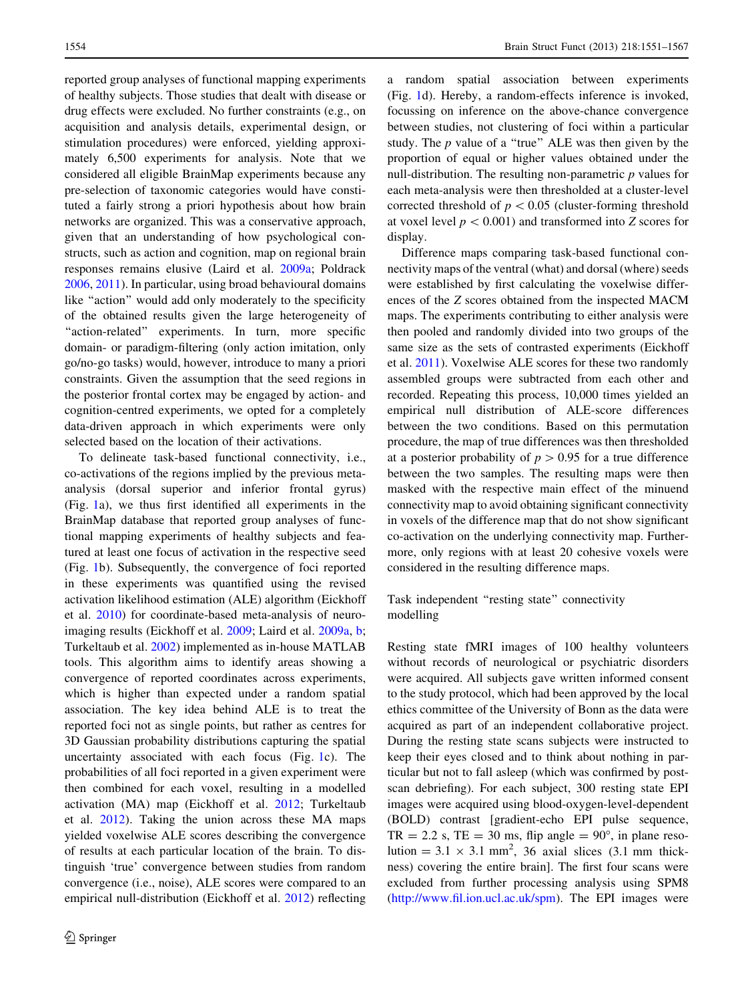reported group analyses of functional mapping experiments of healthy subjects. Those studies that dealt with disease or drug effects were excluded. No further constraints (e.g., on acquisition and analysis details, experimental design, or stimulation procedures) were enforced, yielding approximately 6,500 experiments for analysis. Note that we considered all eligible BrainMap experiments because any pre-selection of taxonomic categories would have constituted a fairly strong a priori hypothesis about how brain networks are organized. This was a conservative approach, given that an understanding of how psychological constructs, such as action and cognition, map on regional brain responses remains elusive (Laird et al. [2009a;](#page-15-0) Poldrack [2006,](#page-15-0) [2011\)](#page-15-0). In particular, using broad behavioural domains like ''action'' would add only moderately to the specificity of the obtained results given the large heterogeneity of "action-related" experiments. In turn, more specific domain- or paradigm-filtering (only action imitation, only go/no-go tasks) would, however, introduce to many a priori constraints. Given the assumption that the seed regions in the posterior frontal cortex may be engaged by action- and cognition-centred experiments, we opted for a completely data-driven approach in which experiments were only selected based on the location of their activations.

To delineate task-based functional connectivity, i.e., co-activations of the regions implied by the previous metaanalysis (dorsal superior and inferior frontal gyrus) (Fig. [1](#page-2-0)a), we thus first identified all experiments in the BrainMap database that reported group analyses of functional mapping experiments of healthy subjects and featured at least one focus of activation in the respective seed (Fig. [1](#page-2-0)b). Subsequently, the convergence of foci reported in these experiments was quantified using the revised activation likelihood estimation (ALE) algorithm (Eickhoff et al. [2010](#page-14-0)) for coordinate-based meta-analysis of neuroimaging results (Eickhoff et al. [2009](#page-14-0); Laird et al. [2009a](#page-15-0), [b](#page-15-0); Turkeltaub et al. [2002](#page-16-0)) implemented as in-house MATLAB tools. This algorithm aims to identify areas showing a convergence of reported coordinates across experiments, which is higher than expected under a random spatial association. The key idea behind ALE is to treat the reported foci not as single points, but rather as centres for 3D Gaussian probability distributions capturing the spatial uncertainty associated with each focus (Fig. [1](#page-2-0)c). The probabilities of all foci reported in a given experiment were then combined for each voxel, resulting in a modelled activation (MA) map (Eickhoff et al. [2012](#page-14-0); Turkeltaub et al. [2012\)](#page-16-0). Taking the union across these MA maps yielded voxelwise ALE scores describing the convergence of results at each particular location of the brain. To distinguish 'true' convergence between studies from random convergence (i.e., noise), ALE scores were compared to an empirical null-distribution (Eickhoff et al. [2012\)](#page-14-0) reflecting a random spatial association between experiments (Fig. [1d](#page-2-0)). Hereby, a random-effects inference is invoked, focussing on inference on the above-chance convergence between studies, not clustering of foci within a particular study. The *p* value of a "true" ALE was then given by the proportion of equal or higher values obtained under the null-distribution. The resulting non-parametric  $p$  values for each meta-analysis were then thresholded at a cluster-level corrected threshold of  $p < 0.05$  (cluster-forming threshold at voxel level  $p < 0.001$ ) and transformed into Z scores for display.

Difference maps comparing task-based functional connectivity maps of the ventral (what) and dorsal (where) seeds were established by first calculating the voxelwise differences of the Z scores obtained from the inspected MACM maps. The experiments contributing to either analysis were then pooled and randomly divided into two groups of the same size as the sets of contrasted experiments (Eickhoff et al. [2011](#page-14-0)). Voxelwise ALE scores for these two randomly assembled groups were subtracted from each other and recorded. Repeating this process, 10,000 times yielded an empirical null distribution of ALE-score differences between the two conditions. Based on this permutation procedure, the map of true differences was then thresholded at a posterior probability of  $p > 0.95$  for a true difference between the two samples. The resulting maps were then masked with the respective main effect of the minuend connectivity map to avoid obtaining significant connectivity in voxels of the difference map that do not show significant co-activation on the underlying connectivity map. Furthermore, only regions with at least 20 cohesive voxels were considered in the resulting difference maps.

Task independent ''resting state'' connectivity modelling

Resting state fMRI images of 100 healthy volunteers without records of neurological or psychiatric disorders were acquired. All subjects gave written informed consent to the study protocol, which had been approved by the local ethics committee of the University of Bonn as the data were acquired as part of an independent collaborative project. During the resting state scans subjects were instructed to keep their eyes closed and to think about nothing in particular but not to fall asleep (which was confirmed by postscan debriefing). For each subject, 300 resting state EPI images were acquired using blood-oxygen-level-dependent (BOLD) contrast [gradient-echo EPI pulse sequence,  $TR = 2.2$  s,  $TE = 30$  ms, flip angle  $= 90^{\circ}$ , in plane resolution =  $3.1 \times 3.1$  mm<sup>2</sup>, 36 axial slices (3.1 mm thickness) covering the entire brain]. The first four scans were excluded from further processing analysis using SPM8 [\(http://www.fil.ion.ucl.ac.uk/spm](http://www.fil.ion.ucl.ac.uk/spm)). The EPI images were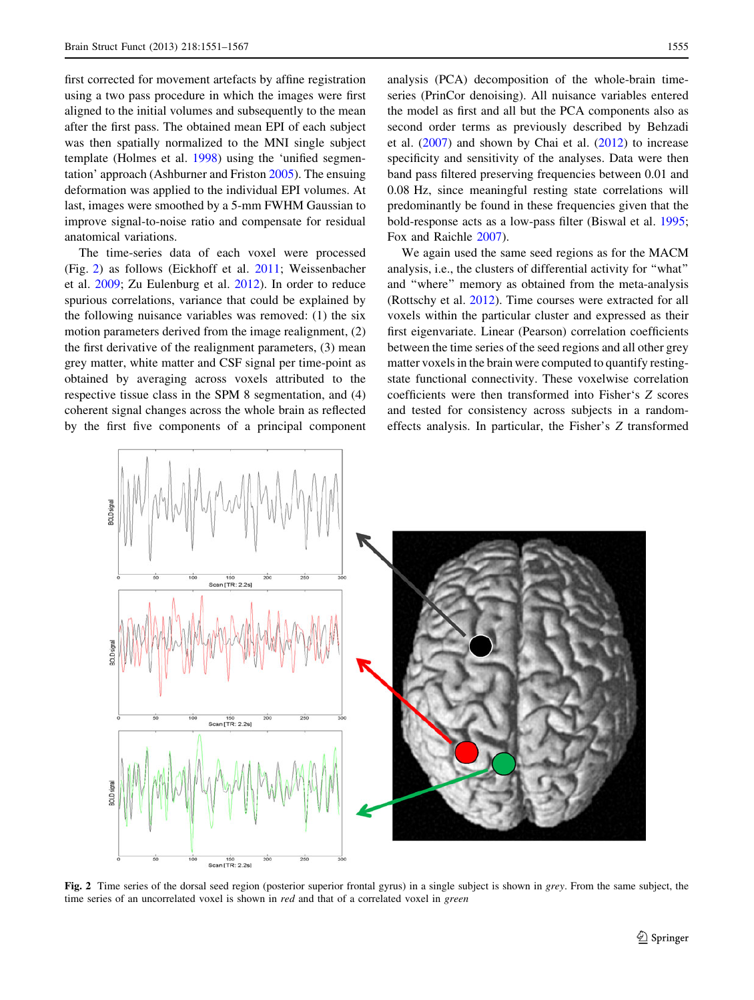first corrected for movement artefacts by affine registration using a two pass procedure in which the images were first aligned to the initial volumes and subsequently to the mean after the first pass. The obtained mean EPI of each subject was then spatially normalized to the MNI single subject template (Holmes et al. [1998](#page-14-0)) using the 'unified segmentation' approach (Ashburner and Friston [2005](#page-14-0)). The ensuing deformation was applied to the individual EPI volumes. At last, images were smoothed by a 5-mm FWHM Gaussian to improve signal-to-noise ratio and compensate for residual anatomical variations.

The time-series data of each voxel were processed (Fig. 2) as follows (Eickhoff et al. [2011](#page-14-0); Weissenbacher et al. [2009](#page-16-0); Zu Eulenburg et al. [2012](#page-16-0)). In order to reduce spurious correlations, variance that could be explained by the following nuisance variables was removed: (1) the six motion parameters derived from the image realignment, (2) the first derivative of the realignment parameters, (3) mean grey matter, white matter and CSF signal per time-point as obtained by averaging across voxels attributed to the respective tissue class in the SPM 8 segmentation, and (4) coherent signal changes across the whole brain as reflected by the first five components of a principal component analysis (PCA) decomposition of the whole-brain timeseries (PrinCor denoising). All nuisance variables entered the model as first and all but the PCA components also as second order terms as previously described by Behzadi et al. ([2007\)](#page-14-0) and shown by Chai et al. ([2012\)](#page-14-0) to increase specificity and sensitivity of the analyses. Data were then band pass filtered preserving frequencies between 0.01 and 0.08 Hz, since meaningful resting state correlations will predominantly be found in these frequencies given that the bold-response acts as a low-pass filter (Biswal et al. [1995](#page-14-0); Fox and Raichle [2007\)](#page-14-0).

We again used the same seed regions as for the MACM analysis, i.e., the clusters of differential activity for ''what'' and ''where'' memory as obtained from the meta-analysis (Rottschy et al. [2012](#page-15-0)). Time courses were extracted for all voxels within the particular cluster and expressed as their first eigenvariate. Linear (Pearson) correlation coefficients between the time series of the seed regions and all other grey matter voxels in the brain were computed to quantify restingstate functional connectivity. These voxelwise correlation coefficients were then transformed into Fisher's Z scores and tested for consistency across subjects in a randomeffects analysis. In particular, the Fisher's Z transformed



Fig. 2 Time series of the dorsal seed region (posterior superior frontal gyrus) in a single subject is shown in grey. From the same subject, the time series of an uncorrelated voxel is shown in *red* and that of a correlated voxel in *green*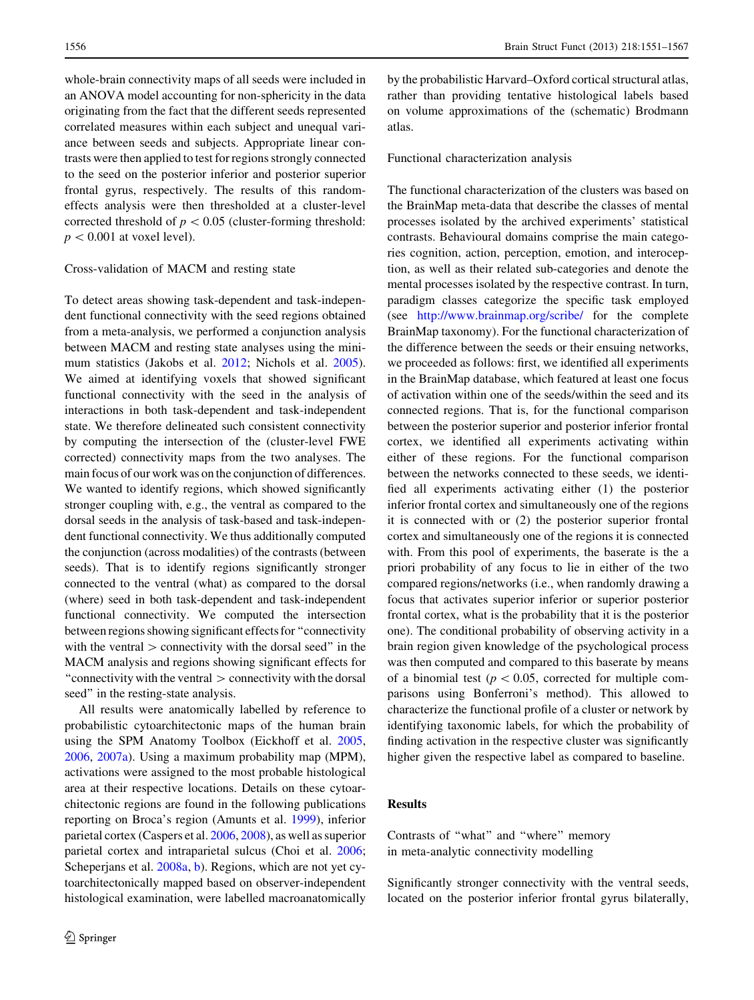whole-brain connectivity maps of all seeds were included in an ANOVA model accounting for non-sphericity in the data originating from the fact that the different seeds represented correlated measures within each subject and unequal variance between seeds and subjects. Appropriate linear contrasts were then applied to test for regions strongly connected to the seed on the posterior inferior and posterior superior frontal gyrus, respectively. The results of this randomeffects analysis were then thresholded at a cluster-level corrected threshold of  $p < 0.05$  (cluster-forming threshold:  $p < 0.001$  at voxel level).

## Cross-validation of MACM and resting state

To detect areas showing task-dependent and task-independent functional connectivity with the seed regions obtained from a meta-analysis, we performed a conjunction analysis between MACM and resting state analyses using the minimum statistics (Jakobs et al. [2012](#page-15-0); Nichols et al. [2005](#page-15-0)). We aimed at identifying voxels that showed significant functional connectivity with the seed in the analysis of interactions in both task-dependent and task-independent state. We therefore delineated such consistent connectivity by computing the intersection of the (cluster-level FWE corrected) connectivity maps from the two analyses. The main focus of our work was on the conjunction of differences. We wanted to identify regions, which showed significantly stronger coupling with, e.g., the ventral as compared to the dorsal seeds in the analysis of task-based and task-independent functional connectivity. We thus additionally computed the conjunction (across modalities) of the contrasts (between seeds). That is to identify regions significantly stronger connected to the ventral (what) as compared to the dorsal (where) seed in both task-dependent and task-independent functional connectivity. We computed the intersection between regions showing significant effects for ''connectivity with the ventral  $\geq$  connectivity with the dorsal seed" in the MACM analysis and regions showing significant effects for "connectivity with the ventral  $\geq$  connectivity with the dorsal seed'' in the resting-state analysis.

All results were anatomically labelled by reference to probabilistic cytoarchitectonic maps of the human brain using the SPM Anatomy Toolbox (Eickhoff et al. [2005,](#page-14-0) [2006,](#page-14-0) [2007a](#page-14-0)). Using a maximum probability map (MPM), activations were assigned to the most probable histological area at their respective locations. Details on these cytoarchitectonic regions are found in the following publications reporting on Broca's region (Amunts et al. [1999\)](#page-14-0), inferior parietal cortex (Caspers et al. [2006](#page-14-0), [2008](#page-14-0)), as well as superior parietal cortex and intraparietal sulcus (Choi et al. [2006](#page-14-0); Scheperjans et al. [2008a](#page-15-0), [b](#page-15-0)). Regions, which are not yet cytoarchitectonically mapped based on observer-independent histological examination, were labelled macroanatomically by the probabilistic Harvard–Oxford cortical structural atlas, rather than providing tentative histological labels based on volume approximations of the (schematic) Brodmann atlas.

# Functional characterization analysis

The functional characterization of the clusters was based on the BrainMap meta-data that describe the classes of mental processes isolated by the archived experiments' statistical contrasts. Behavioural domains comprise the main categories cognition, action, perception, emotion, and interoception, as well as their related sub-categories and denote the mental processes isolated by the respective contrast. In turn, paradigm classes categorize the specific task employed (see <http://www.brainmap.org/scribe/> for the complete BrainMap taxonomy). For the functional characterization of the difference between the seeds or their ensuing networks, we proceeded as follows: first, we identified all experiments in the BrainMap database, which featured at least one focus of activation within one of the seeds/within the seed and its connected regions. That is, for the functional comparison between the posterior superior and posterior inferior frontal cortex, we identified all experiments activating within either of these regions. For the functional comparison between the networks connected to these seeds, we identified all experiments activating either (1) the posterior inferior frontal cortex and simultaneously one of the regions it is connected with or (2) the posterior superior frontal cortex and simultaneously one of the regions it is connected with. From this pool of experiments, the baserate is the a priori probability of any focus to lie in either of the two compared regions/networks (i.e., when randomly drawing a focus that activates superior inferior or superior posterior frontal cortex, what is the probability that it is the posterior one). The conditional probability of observing activity in a brain region given knowledge of the psychological process was then computed and compared to this baserate by means of a binomial test ( $p < 0.05$ , corrected for multiple comparisons using Bonferroni's method). This allowed to characterize the functional profile of a cluster or network by identifying taxonomic labels, for which the probability of finding activation in the respective cluster was significantly higher given the respective label as compared to baseline.

# Results

Contrasts of ''what'' and ''where'' memory in meta-analytic connectivity modelling

Significantly stronger connectivity with the ventral seeds, located on the posterior inferior frontal gyrus bilaterally,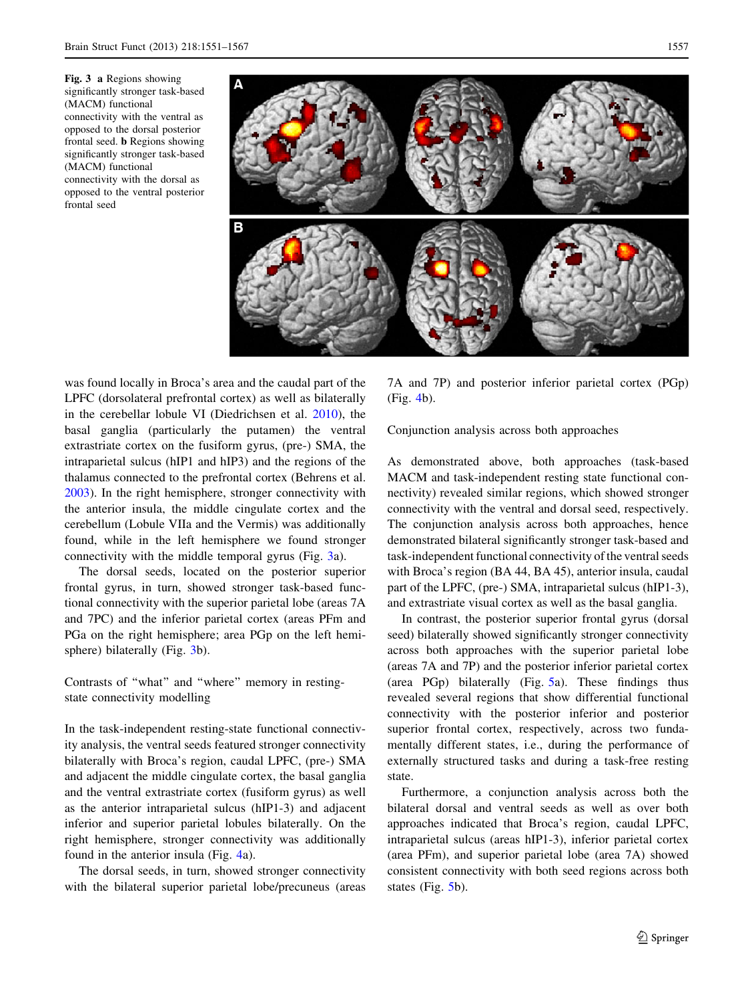opposed to the ventral posterior frontal seed



was found locally in Broca's area and the caudal part of the LPFC (dorsolateral prefrontal cortex) as well as bilaterally in the cerebellar lobule VI (Diedrichsen et al. [2010](#page-14-0)), the basal ganglia (particularly the putamen) the ventral extrastriate cortex on the fusiform gyrus, (pre-) SMA, the intraparietal sulcus (hIP1 and hIP3) and the regions of the thalamus connected to the prefrontal cortex (Behrens et al. [2003\)](#page-14-0). In the right hemisphere, stronger connectivity with the anterior insula, the middle cingulate cortex and the cerebellum (Lobule VIIa and the Vermis) was additionally found, while in the left hemisphere we found stronger connectivity with the middle temporal gyrus (Fig. 3a).

The dorsal seeds, located on the posterior superior frontal gyrus, in turn, showed stronger task-based functional connectivity with the superior parietal lobe (areas 7A and 7PC) and the inferior parietal cortex (areas PFm and PGa on the right hemisphere; area PGp on the left hemisphere) bilaterally (Fig. 3b).

Contrasts of ''what'' and ''where'' memory in restingstate connectivity modelling

In the task-independent resting-state functional connectivity analysis, the ventral seeds featured stronger connectivity bilaterally with Broca's region, caudal LPFC, (pre-) SMA and adjacent the middle cingulate cortex, the basal ganglia and the ventral extrastriate cortex (fusiform gyrus) as well as the anterior intraparietal sulcus (hIP1-3) and adjacent inferior and superior parietal lobules bilaterally. On the right hemisphere, stronger connectivity was additionally found in the anterior insula (Fig. [4a](#page-7-0)).

The dorsal seeds, in turn, showed stronger connectivity with the bilateral superior parietal lobe/precuneus (areas

7A and 7P) and posterior inferior parietal cortex (PGp) (Fig. [4b](#page-7-0)).

Conjunction analysis across both approaches

As demonstrated above, both approaches (task-based MACM and task-independent resting state functional connectivity) revealed similar regions, which showed stronger connectivity with the ventral and dorsal seed, respectively. The conjunction analysis across both approaches, hence demonstrated bilateral significantly stronger task-based and task-independent functional connectivity of the ventral seeds with Broca's region (BA 44, BA 45), anterior insula, caudal part of the LPFC, (pre-) SMA, intraparietal sulcus (hIP1-3), and extrastriate visual cortex as well as the basal ganglia.

In contrast, the posterior superior frontal gyrus (dorsal seed) bilaterally showed significantly stronger connectivity across both approaches with the superior parietal lobe (areas 7A and 7P) and the posterior inferior parietal cortex (area PGp) bilaterally (Fig. [5](#page-7-0)a). These findings thus revealed several regions that show differential functional connectivity with the posterior inferior and posterior superior frontal cortex, respectively, across two fundamentally different states, i.e., during the performance of externally structured tasks and during a task-free resting state.

Furthermore, a conjunction analysis across both the bilateral dorsal and ventral seeds as well as over both approaches indicated that Broca's region, caudal LPFC, intraparietal sulcus (areas hIP1-3), inferior parietal cortex (area PFm), and superior parietal lobe (area 7A) showed consistent connectivity with both seed regions across both states (Fig. [5](#page-7-0)b).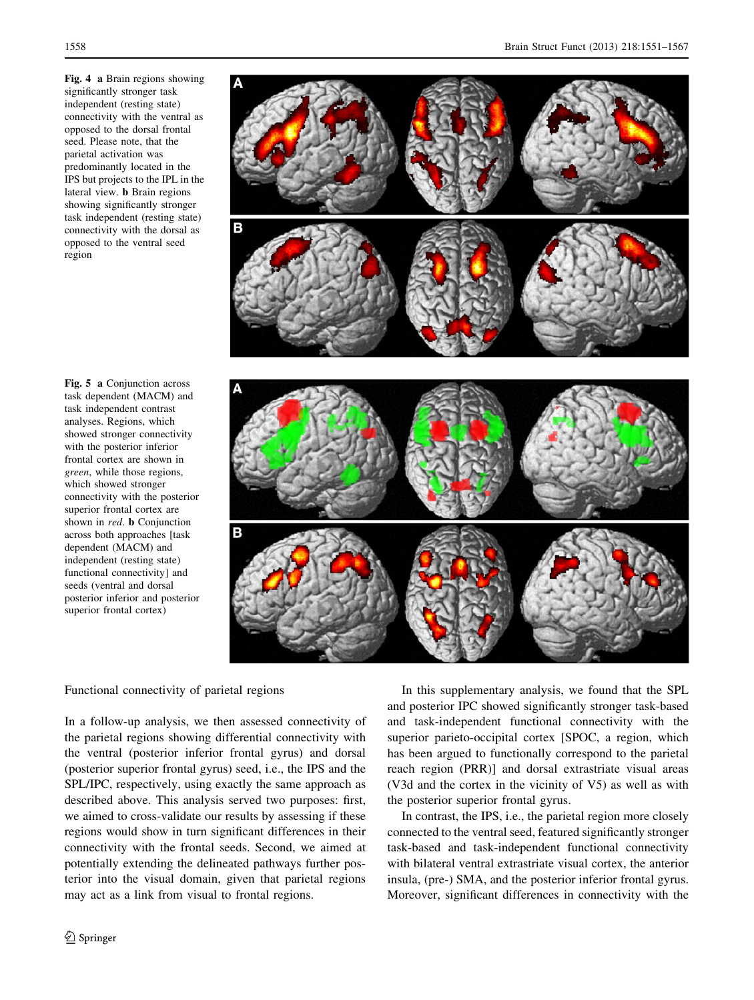<span id="page-7-0"></span>Fig. 4 a Brain regions showing significantly stronger task independent (resting state) connectivity with the ventral as opposed to the dorsal frontal seed. Please note, that the parietal activation was predominantly located in the IPS but projects to the IPL in the lateral view. b Brain regions showing significantly stronger task independent (resting state) connectivity with the dorsal as opposed to the ventral seed region



task dependent (MACM) and task independent contrast analyses. Regions, which showed stronger connectivity with the posterior inferior frontal cortex are shown in green, while those regions, which showed stronger connectivity with the posterior superior frontal cortex are shown in red. **b** Conjunction across both approaches [task dependent (MACM) and independent (resting state) functional connectivity] and seeds (ventral and dorsal posterior inferior and posterior superior frontal cortex)

Fig. 5 a Conjunction across

# Functional connectivity of parietal regions

In a follow-up analysis, we then assessed connectivity of the parietal regions showing differential connectivity with the ventral (posterior inferior frontal gyrus) and dorsal (posterior superior frontal gyrus) seed, i.e., the IPS and the SPL/IPC, respectively, using exactly the same approach as described above. This analysis served two purposes: first, we aimed to cross-validate our results by assessing if these regions would show in turn significant differences in their connectivity with the frontal seeds. Second, we aimed at potentially extending the delineated pathways further posterior into the visual domain, given that parietal regions may act as a link from visual to frontal regions.

In this supplementary analysis, we found that the SPL and posterior IPC showed significantly stronger task-based and task-independent functional connectivity with the superior parieto-occipital cortex [SPOC, a region, which has been argued to functionally correspond to the parietal reach region (PRR)] and dorsal extrastriate visual areas (V3d and the cortex in the vicinity of V5) as well as with the posterior superior frontal gyrus.

In contrast, the IPS, i.e., the parietal region more closely connected to the ventral seed, featured significantly stronger task-based and task-independent functional connectivity with bilateral ventral extrastriate visual cortex, the anterior insula, (pre-) SMA, and the posterior inferior frontal gyrus. Moreover, significant differences in connectivity with the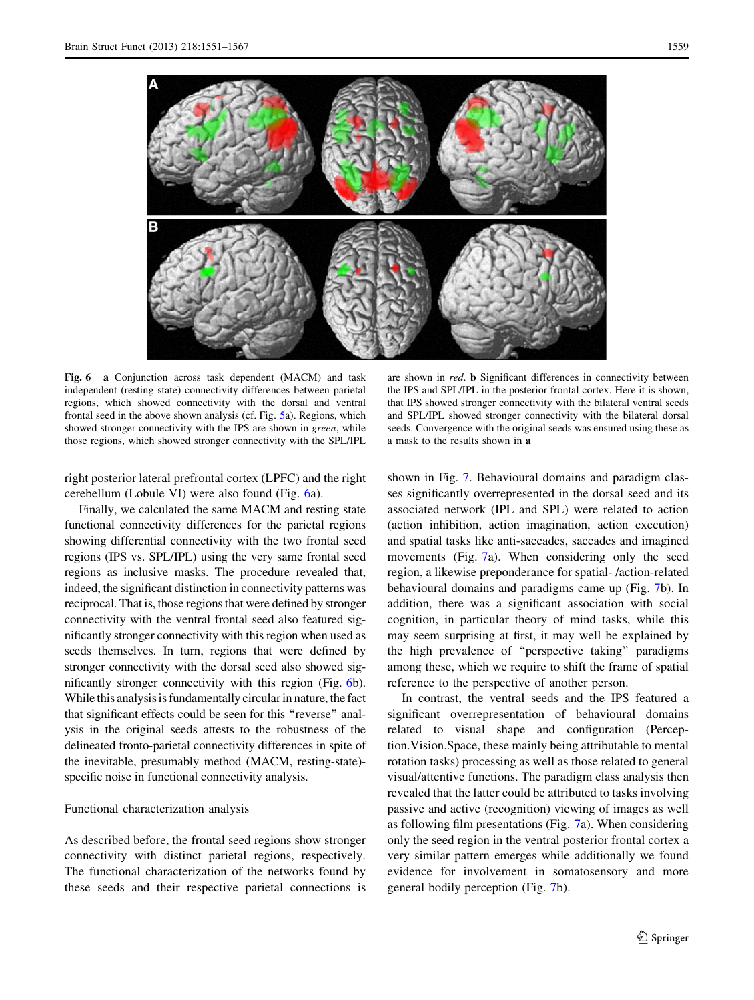<span id="page-8-0"></span>

Fig. 6 a Conjunction across task dependent (MACM) and task independent (resting state) connectivity differences between parietal regions, which showed connectivity with the dorsal and ventral frontal seed in the above shown analysis (cf. Fig. [5](#page-7-0)a). Regions, which showed stronger connectivity with the IPS are shown in green, while those regions, which showed stronger connectivity with the SPL/IPL

right posterior lateral prefrontal cortex (LPFC) and the right cerebellum (Lobule VI) were also found (Fig. 6a).

Finally, we calculated the same MACM and resting state functional connectivity differences for the parietal regions showing differential connectivity with the two frontal seed regions (IPS vs. SPL/IPL) using the very same frontal seed regions as inclusive masks. The procedure revealed that, indeed, the significant distinction in connectivity patterns was reciprocal. That is, those regions that were defined by stronger connectivity with the ventral frontal seed also featured significantly stronger connectivity with this region when used as seeds themselves. In turn, regions that were defined by stronger connectivity with the dorsal seed also showed significantly stronger connectivity with this region (Fig. 6b). While this analysis is fundamentally circular in nature, the fact that significant effects could be seen for this ''reverse'' analysis in the original seeds attests to the robustness of the delineated fronto-parietal connectivity differences in spite of the inevitable, presumably method (MACM, resting-state) specific noise in functional connectivity analysis.

#### Functional characterization analysis

As described before, the frontal seed regions show stronger connectivity with distinct parietal regions, respectively. The functional characterization of the networks found by these seeds and their respective parietal connections is

are shown in red. b Significant differences in connectivity between the IPS and SPL/IPL in the posterior frontal cortex. Here it is shown, that IPS showed stronger connectivity with the bilateral ventral seeds and SPL/IPL showed stronger connectivity with the bilateral dorsal seeds. Convergence with the original seeds was ensured using these as a mask to the results shown in a

shown in Fig. [7.](#page-9-0) Behavioural domains and paradigm classes significantly overrepresented in the dorsal seed and its associated network (IPL and SPL) were related to action (action inhibition, action imagination, action execution) and spatial tasks like anti-saccades, saccades and imagined movements (Fig. [7a](#page-9-0)). When considering only the seed region, a likewise preponderance for spatial- /action-related behavioural domains and paradigms came up (Fig. [7b](#page-9-0)). In addition, there was a significant association with social cognition, in particular theory of mind tasks, while this may seem surprising at first, it may well be explained by the high prevalence of ''perspective taking'' paradigms among these, which we require to shift the frame of spatial reference to the perspective of another person.

In contrast, the ventral seeds and the IPS featured a significant overrepresentation of behavioural domains related to visual shape and configuration (Perception.Vision.Space, these mainly being attributable to mental rotation tasks) processing as well as those related to general visual/attentive functions. The paradigm class analysis then revealed that the latter could be attributed to tasks involving passive and active (recognition) viewing of images as well as following film presentations (Fig. [7a](#page-9-0)). When considering only the seed region in the ventral posterior frontal cortex a very similar pattern emerges while additionally we found evidence for involvement in somatosensory and more general bodily perception (Fig. [7b](#page-9-0)).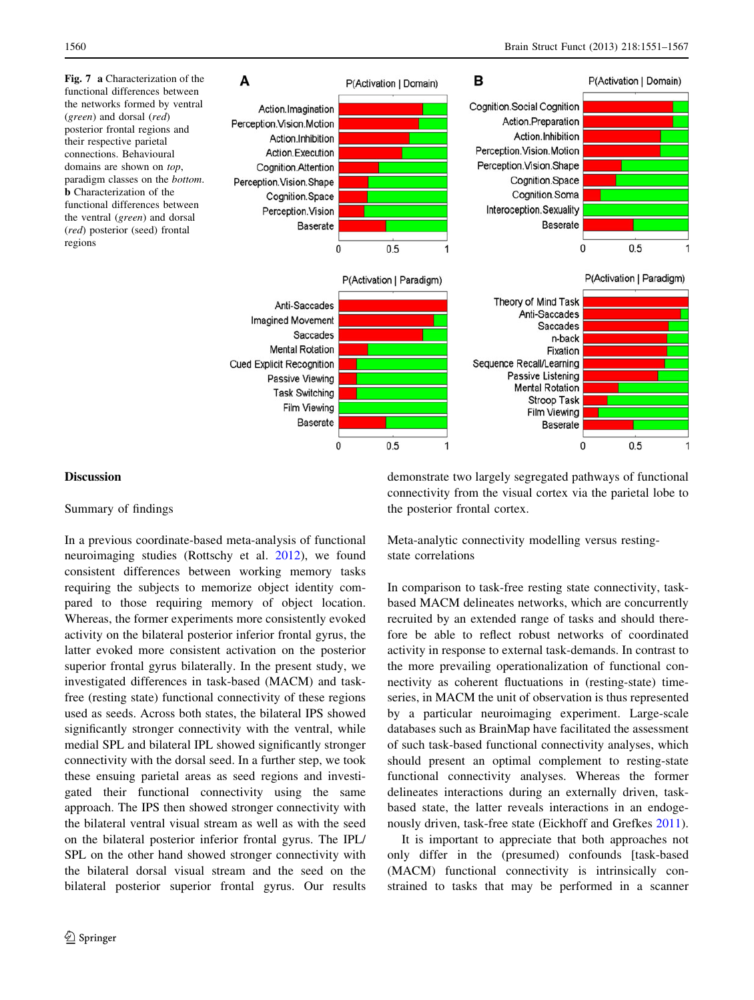<span id="page-9-0"></span>Fig. 7 a Characterization of the functional differences between the networks formed by ventral (green) and dorsal (red) posterior frontal regions and their respective parietal connections. Behavioural domains are shown on *top*, paradigm classes on the bottom. b Characterization of the functional differences between the ventral (green) and dorsal (red) posterior (seed) frontal regions



## **Discussion**

# Summary of findings

In a previous coordinate-based meta-analysis of functional neuroimaging studies (Rottschy et al. [2012](#page-15-0)), we found consistent differences between working memory tasks requiring the subjects to memorize object identity compared to those requiring memory of object location. Whereas, the former experiments more consistently evoked activity on the bilateral posterior inferior frontal gyrus, the latter evoked more consistent activation on the posterior superior frontal gyrus bilaterally. In the present study, we investigated differences in task-based (MACM) and taskfree (resting state) functional connectivity of these regions used as seeds. Across both states, the bilateral IPS showed significantly stronger connectivity with the ventral, while medial SPL and bilateral IPL showed significantly stronger connectivity with the dorsal seed. In a further step, we took these ensuing parietal areas as seed regions and investigated their functional connectivity using the same approach. The IPS then showed stronger connectivity with the bilateral ventral visual stream as well as with the seed on the bilateral posterior inferior frontal gyrus. The IPL/ SPL on the other hand showed stronger connectivity with the bilateral dorsal visual stream and the seed on the bilateral posterior superior frontal gyrus. Our results demonstrate two largely segregated pathways of functional connectivity from the visual cortex via the parietal lobe to the posterior frontal cortex.

Meta-analytic connectivity modelling versus restingstate correlations

In comparison to task-free resting state connectivity, taskbased MACM delineates networks, which are concurrently recruited by an extended range of tasks and should therefore be able to reflect robust networks of coordinated activity in response to external task-demands. In contrast to the more prevailing operationalization of functional connectivity as coherent fluctuations in (resting-state) timeseries, in MACM the unit of observation is thus represented by a particular neuroimaging experiment. Large-scale databases such as BrainMap have facilitated the assessment of such task-based functional connectivity analyses, which should present an optimal complement to resting-state functional connectivity analyses. Whereas the former delineates interactions during an externally driven, taskbased state, the latter reveals interactions in an endogenously driven, task-free state (Eickhoff and Grefkes [2011](#page-14-0)).

It is important to appreciate that both approaches not only differ in the (presumed) confounds [task-based (MACM) functional connectivity is intrinsically constrained to tasks that may be performed in a scanner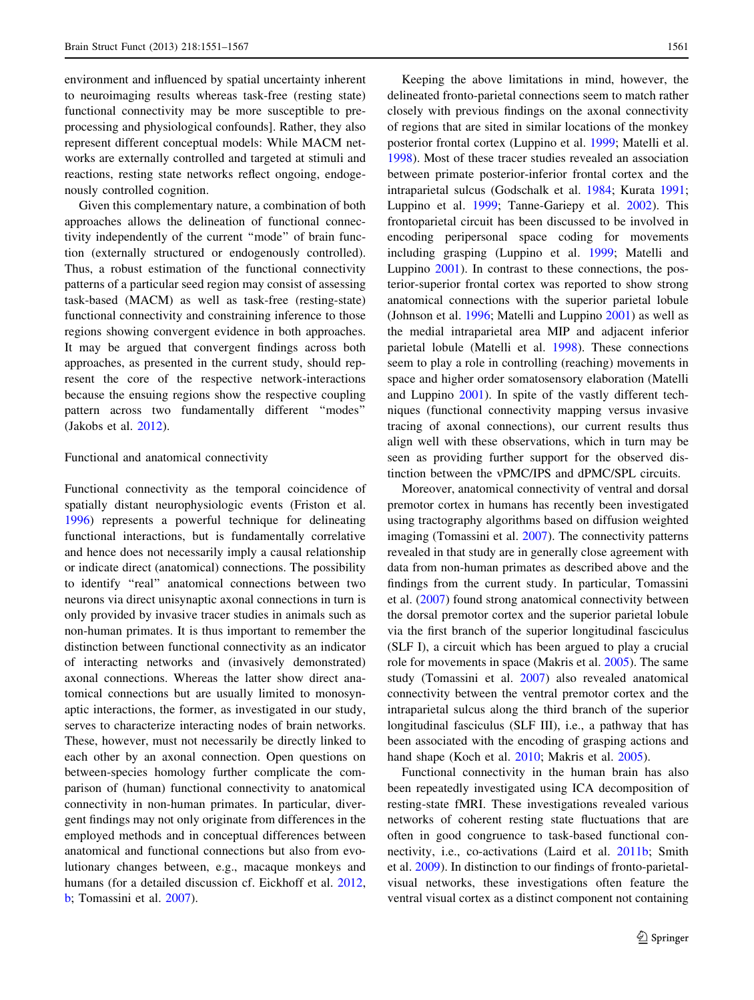environment and influenced by spatial uncertainty inherent to neuroimaging results whereas task-free (resting state) functional connectivity may be more susceptible to preprocessing and physiological confounds]. Rather, they also represent different conceptual models: While MACM networks are externally controlled and targeted at stimuli and reactions, resting state networks reflect ongoing, endogenously controlled cognition.

Given this complementary nature, a combination of both approaches allows the delineation of functional connectivity independently of the current ''mode'' of brain function (externally structured or endogenously controlled). Thus, a robust estimation of the functional connectivity patterns of a particular seed region may consist of assessing task-based (MACM) as well as task-free (resting-state) functional connectivity and constraining inference to those regions showing convergent evidence in both approaches. It may be argued that convergent findings across both approaches, as presented in the current study, should represent the core of the respective network-interactions because the ensuing regions show the respective coupling pattern across two fundamentally different ''modes'' (Jakobs et al. [2012](#page-15-0)).

#### Functional and anatomical connectivity

Functional connectivity as the temporal coincidence of spatially distant neurophysiologic events (Friston et al. [1996\)](#page-14-0) represents a powerful technique for delineating functional interactions, but is fundamentally correlative and hence does not necessarily imply a causal relationship or indicate direct (anatomical) connections. The possibility to identify ''real'' anatomical connections between two neurons via direct unisynaptic axonal connections in turn is only provided by invasive tracer studies in animals such as non-human primates. It is thus important to remember the distinction between functional connectivity as an indicator of interacting networks and (invasively demonstrated) axonal connections. Whereas the latter show direct anatomical connections but are usually limited to monosynaptic interactions, the former, as investigated in our study, serves to characterize interacting nodes of brain networks. These, however, must not necessarily be directly linked to each other by an axonal connection. Open questions on between-species homology further complicate the comparison of (human) functional connectivity to anatomical connectivity in non-human primates. In particular, divergent findings may not only originate from differences in the employed methods and in conceptual differences between anatomical and functional connections but also from evolutionary changes between, e.g., macaque monkeys and humans (for a detailed discussion cf. Eickhoff et al. [2012,](#page-14-0) [b](#page-14-0); Tomassini et al. [2007\)](#page-16-0).

Keeping the above limitations in mind, however, the delineated fronto-parietal connections seem to match rather closely with previous findings on the axonal connectivity of regions that are sited in similar locations of the monkey posterior frontal cortex (Luppino et al. [1999](#page-15-0); Matelli et al. [1998](#page-15-0)). Most of these tracer studies revealed an association between primate posterior-inferior frontal cortex and the intraparietal sulcus (Godschalk et al. [1984](#page-14-0); Kurata [1991](#page-15-0); Luppino et al. [1999](#page-15-0); Tanne-Gariepy et al. [2002](#page-16-0)). This frontoparietal circuit has been discussed to be involved in encoding peripersonal space coding for movements including grasping (Luppino et al. [1999](#page-15-0); Matelli and Luppino [2001\)](#page-15-0). In contrast to these connections, the posterior-superior frontal cortex was reported to show strong anatomical connections with the superior parietal lobule (Johnson et al. [1996](#page-15-0); Matelli and Luppino [2001\)](#page-15-0) as well as the medial intraparietal area MIP and adjacent inferior parietal lobule (Matelli et al. [1998](#page-15-0)). These connections seem to play a role in controlling (reaching) movements in space and higher order somatosensory elaboration (Matelli and Luppino [2001\)](#page-15-0). In spite of the vastly different techniques (functional connectivity mapping versus invasive tracing of axonal connections), our current results thus align well with these observations, which in turn may be seen as providing further support for the observed distinction between the vPMC/IPS and dPMC/SPL circuits.

Moreover, anatomical connectivity of ventral and dorsal premotor cortex in humans has recently been investigated using tractography algorithms based on diffusion weighted imaging (Tomassini et al. [2007\)](#page-16-0). The connectivity patterns revealed in that study are in generally close agreement with data from non-human primates as described above and the findings from the current study. In particular, Tomassini et al. ([2007\)](#page-16-0) found strong anatomical connectivity between the dorsal premotor cortex and the superior parietal lobule via the first branch of the superior longitudinal fasciculus (SLF I), a circuit which has been argued to play a crucial role for movements in space (Makris et al. [2005](#page-15-0)). The same study (Tomassini et al. [2007\)](#page-16-0) also revealed anatomical connectivity between the ventral premotor cortex and the intraparietal sulcus along the third branch of the superior longitudinal fasciculus (SLF III), i.e., a pathway that has been associated with the encoding of grasping actions and hand shape (Koch et al. [2010;](#page-15-0) Makris et al. [2005](#page-15-0)).

Functional connectivity in the human brain has also been repeatedly investigated using ICA decomposition of resting-state fMRI. These investigations revealed various networks of coherent resting state fluctuations that are often in good congruence to task-based functional connectivity, i.e., co-activations (Laird et al. [2011b](#page-15-0); Smith et al. [2009](#page-16-0)). In distinction to our findings of fronto-parietalvisual networks, these investigations often feature the ventral visual cortex as a distinct component not containing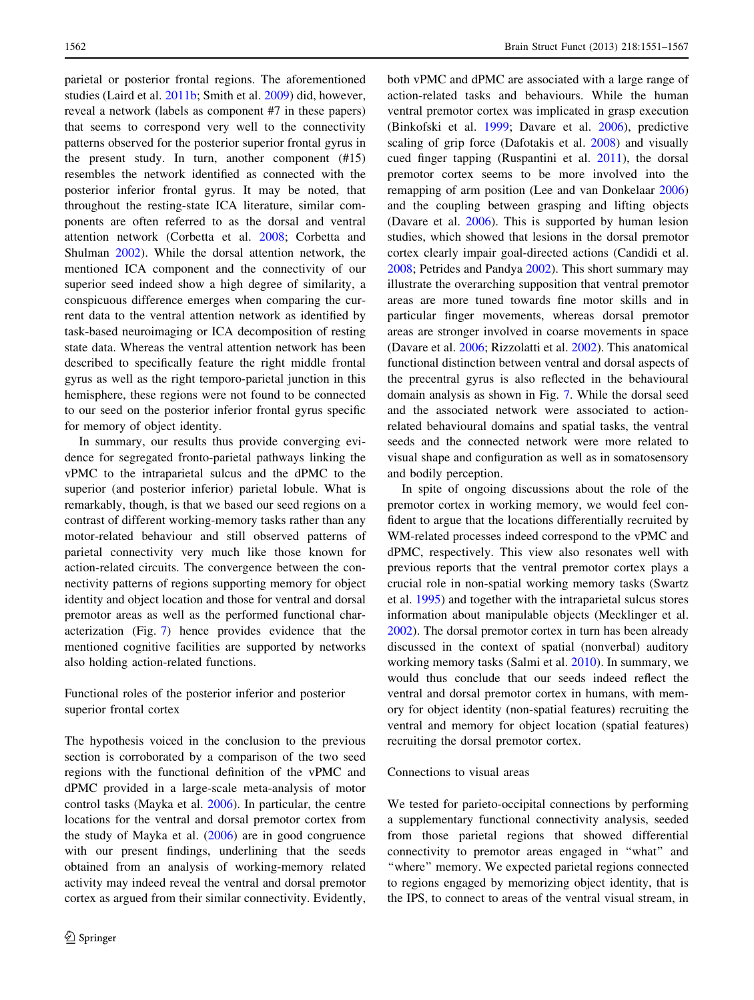parietal or posterior frontal regions. The aforementioned studies (Laird et al. [2011b](#page-15-0); Smith et al. [2009\)](#page-16-0) did, however, reveal a network (labels as component #7 in these papers) that seems to correspond very well to the connectivity patterns observed for the posterior superior frontal gyrus in the present study. In turn, another component (#15) resembles the network identified as connected with the posterior inferior frontal gyrus. It may be noted, that throughout the resting-state ICA literature, similar components are often referred to as the dorsal and ventral attention network (Corbetta et al. [2008;](#page-14-0) Corbetta and Shulman [2002](#page-14-0)). While the dorsal attention network, the mentioned ICA component and the connectivity of our superior seed indeed show a high degree of similarity, a conspicuous difference emerges when comparing the current data to the ventral attention network as identified by task-based neuroimaging or ICA decomposition of resting state data. Whereas the ventral attention network has been described to specifically feature the right middle frontal gyrus as well as the right temporo-parietal junction in this hemisphere, these regions were not found to be connected to our seed on the posterior inferior frontal gyrus specific for memory of object identity.

In summary, our results thus provide converging evidence for segregated fronto-parietal pathways linking the vPMC to the intraparietal sulcus and the dPMC to the superior (and posterior inferior) parietal lobule. What is remarkably, though, is that we based our seed regions on a contrast of different working-memory tasks rather than any motor-related behaviour and still observed patterns of parietal connectivity very much like those known for action-related circuits. The convergence between the connectivity patterns of regions supporting memory for object identity and object location and those for ventral and dorsal premotor areas as well as the performed functional characterization (Fig. [7\)](#page-9-0) hence provides evidence that the mentioned cognitive facilities are supported by networks also holding action-related functions.

Functional roles of the posterior inferior and posterior superior frontal cortex

The hypothesis voiced in the conclusion to the previous section is corroborated by a comparison of the two seed regions with the functional definition of the vPMC and dPMC provided in a large-scale meta-analysis of motor control tasks (Mayka et al. [2006](#page-15-0)). In particular, the centre locations for the ventral and dorsal premotor cortex from the study of Mayka et al. [\(2006](#page-15-0)) are in good congruence with our present findings, underlining that the seeds obtained from an analysis of working-memory related activity may indeed reveal the ventral and dorsal premotor cortex as argued from their similar connectivity. Evidently,

both vPMC and dPMC are associated with a large range of action-related tasks and behaviours. While the human ventral premotor cortex was implicated in grasp execution (Binkofski et al. [1999](#page-14-0); Davare et al. [2006\)](#page-14-0), predictive scaling of grip force (Dafotakis et al. [2008\)](#page-14-0) and visually cued finger tapping (Ruspantini et al. [2011\)](#page-15-0), the dorsal premotor cortex seems to be more involved into the remapping of arm position (Lee and van Donkelaar [2006\)](#page-15-0) and the coupling between grasping and lifting objects (Davare et al. [2006](#page-14-0)). This is supported by human lesion studies, which showed that lesions in the dorsal premotor cortex clearly impair goal-directed actions (Candidi et al. [2008](#page-14-0); Petrides and Pandya [2002\)](#page-15-0). This short summary may illustrate the overarching supposition that ventral premotor areas are more tuned towards fine motor skills and in particular finger movements, whereas dorsal premotor areas are stronger involved in coarse movements in space (Davare et al. [2006;](#page-14-0) Rizzolatti et al. [2002\)](#page-15-0). This anatomical functional distinction between ventral and dorsal aspects of the precentral gyrus is also reflected in the behavioural domain analysis as shown in Fig. [7](#page-9-0). While the dorsal seed and the associated network were associated to actionrelated behavioural domains and spatial tasks, the ventral seeds and the connected network were more related to visual shape and configuration as well as in somatosensory and bodily perception.

In spite of ongoing discussions about the role of the premotor cortex in working memory, we would feel confident to argue that the locations differentially recruited by WM-related processes indeed correspond to the vPMC and dPMC, respectively. This view also resonates well with previous reports that the ventral premotor cortex plays a crucial role in non-spatial working memory tasks (Swartz et al. [1995](#page-16-0)) and together with the intraparietal sulcus stores information about manipulable objects (Mecklinger et al. [2002](#page-15-0)). The dorsal premotor cortex in turn has been already discussed in the context of spatial (nonverbal) auditory working memory tasks (Salmi et al. [2010](#page-15-0)). In summary, we would thus conclude that our seeds indeed reflect the ventral and dorsal premotor cortex in humans, with memory for object identity (non-spatial features) recruiting the ventral and memory for object location (spatial features) recruiting the dorsal premotor cortex.

#### Connections to visual areas

We tested for parieto-occipital connections by performing a supplementary functional connectivity analysis, seeded from those parietal regions that showed differential connectivity to premotor areas engaged in ''what'' and "where" memory. We expected parietal regions connected to regions engaged by memorizing object identity, that is the IPS, to connect to areas of the ventral visual stream, in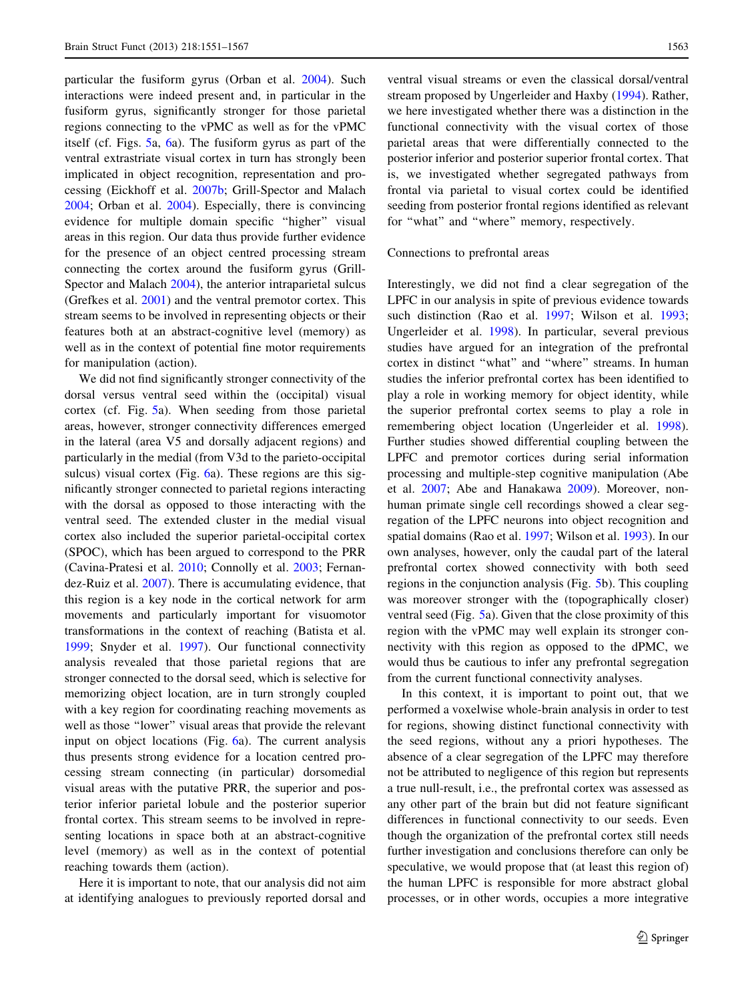particular the fusiform gyrus (Orban et al. [2004](#page-15-0)). Such interactions were indeed present and, in particular in the fusiform gyrus, significantly stronger for those parietal regions connecting to the vPMC as well as for the vPMC itself (cf. Figs. [5](#page-7-0)a, [6a](#page-8-0)). The fusiform gyrus as part of the ventral extrastriate visual cortex in turn has strongly been implicated in object recognition, representation and processing (Eickhoff et al. [2007b;](#page-14-0) Grill-Spector and Malach [2004;](#page-14-0) Orban et al. [2004\)](#page-15-0). Especially, there is convincing evidence for multiple domain specific ''higher'' visual areas in this region. Our data thus provide further evidence for the presence of an object centred processing stream connecting the cortex around the fusiform gyrus (Grill-Spector and Malach [2004\)](#page-14-0), the anterior intraparietal sulcus (Grefkes et al. [2001\)](#page-14-0) and the ventral premotor cortex. This stream seems to be involved in representing objects or their features both at an abstract-cognitive level (memory) as well as in the context of potential fine motor requirements for manipulation (action).

We did not find significantly stronger connectivity of the dorsal versus ventral seed within the (occipital) visual cortex (cf. Fig. [5](#page-7-0)a). When seeding from those parietal areas, however, stronger connectivity differences emerged in the lateral (area V5 and dorsally adjacent regions) and particularly in the medial (from V3d to the parieto-occipital sulcus) visual cortex (Fig. [6](#page-8-0)a). These regions are this significantly stronger connected to parietal regions interacting with the dorsal as opposed to those interacting with the ventral seed. The extended cluster in the medial visual cortex also included the superior parietal-occipital cortex (SPOC), which has been argued to correspond to the PRR (Cavina-Pratesi et al. [2010;](#page-14-0) Connolly et al. [2003;](#page-14-0) Fernandez-Ruiz et al. [2007](#page-14-0)). There is accumulating evidence, that this region is a key node in the cortical network for arm movements and particularly important for visuomotor transformations in the context of reaching (Batista et al. [1999;](#page-14-0) Snyder et al. [1997](#page-16-0)). Our functional connectivity analysis revealed that those parietal regions that are stronger connected to the dorsal seed, which is selective for memorizing object location, are in turn strongly coupled with a key region for coordinating reaching movements as well as those ''lower'' visual areas that provide the relevant input on object locations (Fig. [6a](#page-8-0)). The current analysis thus presents strong evidence for a location centred processing stream connecting (in particular) dorsomedial visual areas with the putative PRR, the superior and posterior inferior parietal lobule and the posterior superior frontal cortex. This stream seems to be involved in representing locations in space both at an abstract-cognitive level (memory) as well as in the context of potential reaching towards them (action).

Here it is important to note, that our analysis did not aim at identifying analogues to previously reported dorsal and

ventral visual streams or even the classical dorsal/ventral stream proposed by Ungerleider and Haxby ([1994\)](#page-16-0). Rather, we here investigated whether there was a distinction in the functional connectivity with the visual cortex of those parietal areas that were differentially connected to the posterior inferior and posterior superior frontal cortex. That is, we investigated whether segregated pathways from frontal via parietal to visual cortex could be identified seeding from posterior frontal regions identified as relevant for "what" and "where" memory, respectively.

# Connections to prefrontal areas

Interestingly, we did not find a clear segregation of the LPFC in our analysis in spite of previous evidence towards such distinction (Rao et al. [1997;](#page-15-0) Wilson et al. [1993](#page-16-0); Ungerleider et al. [1998](#page-16-0)). In particular, several previous studies have argued for an integration of the prefrontal cortex in distinct ''what'' and ''where'' streams. In human studies the inferior prefrontal cortex has been identified to play a role in working memory for object identity, while the superior prefrontal cortex seems to play a role in remembering object location (Ungerleider et al. [1998](#page-16-0)). Further studies showed differential coupling between the LPFC and premotor cortices during serial information processing and multiple-step cognitive manipulation (Abe et al. [2007;](#page-13-0) Abe and Hanakawa [2009](#page-13-0)). Moreover, nonhuman primate single cell recordings showed a clear segregation of the LPFC neurons into object recognition and spatial domains (Rao et al. [1997](#page-15-0); Wilson et al. [1993](#page-16-0)). In our own analyses, however, only the caudal part of the lateral prefrontal cortex showed connectivity with both seed regions in the conjunction analysis (Fig. [5](#page-7-0)b). This coupling was moreover stronger with the (topographically closer) ventral seed (Fig. [5a](#page-7-0)). Given that the close proximity of this region with the vPMC may well explain its stronger connectivity with this region as opposed to the dPMC, we would thus be cautious to infer any prefrontal segregation from the current functional connectivity analyses.

In this context, it is important to point out, that we performed a voxelwise whole-brain analysis in order to test for regions, showing distinct functional connectivity with the seed regions, without any a priori hypotheses. The absence of a clear segregation of the LPFC may therefore not be attributed to negligence of this region but represents a true null-result, i.e., the prefrontal cortex was assessed as any other part of the brain but did not feature significant differences in functional connectivity to our seeds. Even though the organization of the prefrontal cortex still needs further investigation and conclusions therefore can only be speculative, we would propose that (at least this region of) the human LPFC is responsible for more abstract global processes, or in other words, occupies a more integrative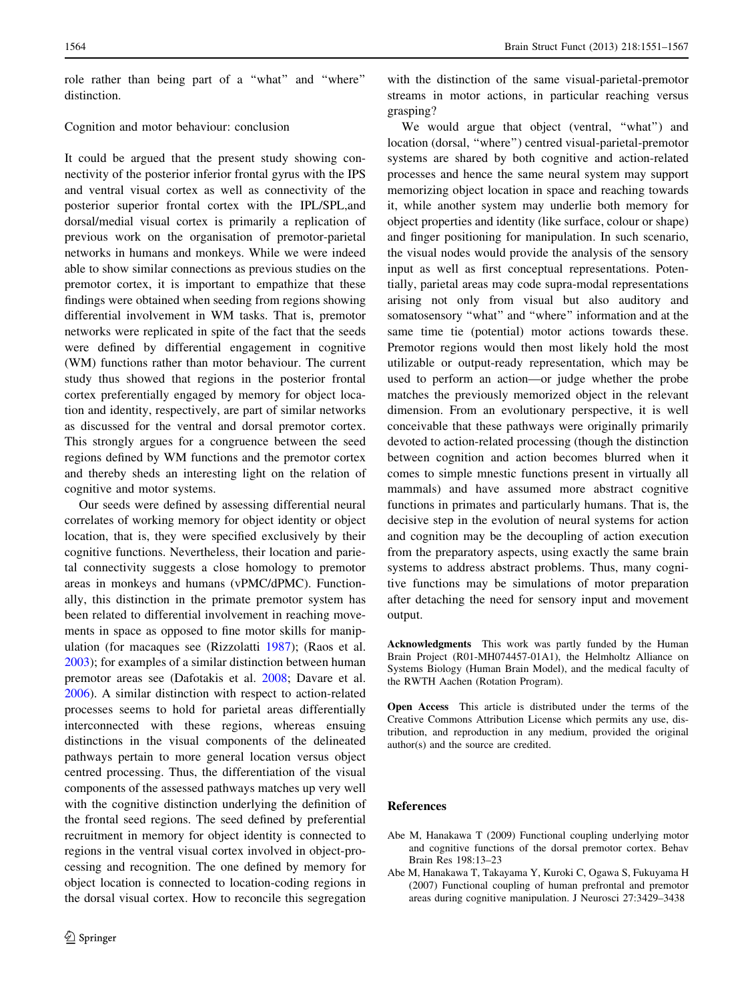<span id="page-13-0"></span>role rather than being part of a ''what'' and ''where'' distinction.

## Cognition and motor behaviour: conclusion

It could be argued that the present study showing connectivity of the posterior inferior frontal gyrus with the IPS and ventral visual cortex as well as connectivity of the posterior superior frontal cortex with the IPL/SPL,and dorsal/medial visual cortex is primarily a replication of previous work on the organisation of premotor-parietal networks in humans and monkeys. While we were indeed able to show similar connections as previous studies on the premotor cortex, it is important to empathize that these findings were obtained when seeding from regions showing differential involvement in WM tasks. That is, premotor networks were replicated in spite of the fact that the seeds were defined by differential engagement in cognitive (WM) functions rather than motor behaviour. The current study thus showed that regions in the posterior frontal cortex preferentially engaged by memory for object location and identity, respectively, are part of similar networks as discussed for the ventral and dorsal premotor cortex. This strongly argues for a congruence between the seed regions defined by WM functions and the premotor cortex and thereby sheds an interesting light on the relation of cognitive and motor systems.

Our seeds were defined by assessing differential neural correlates of working memory for object identity or object location, that is, they were specified exclusively by their cognitive functions. Nevertheless, their location and parietal connectivity suggests a close homology to premotor areas in monkeys and humans (vPMC/dPMC). Functionally, this distinction in the primate premotor system has been related to differential involvement in reaching movements in space as opposed to fine motor skills for manipulation (for macaques see (Rizzolatti [1987\)](#page-15-0); (Raos et al. [2003\)](#page-15-0); for examples of a similar distinction between human premotor areas see (Dafotakis et al. [2008;](#page-14-0) Davare et al. [2006\)](#page-14-0). A similar distinction with respect to action-related processes seems to hold for parietal areas differentially interconnected with these regions, whereas ensuing distinctions in the visual components of the delineated pathways pertain to more general location versus object centred processing. Thus, the differentiation of the visual components of the assessed pathways matches up very well with the cognitive distinction underlying the definition of the frontal seed regions. The seed defined by preferential recruitment in memory for object identity is connected to regions in the ventral visual cortex involved in object-processing and recognition. The one defined by memory for object location is connected to location-coding regions in the dorsal visual cortex. How to reconcile this segregation

with the distinction of the same visual-parietal-premotor streams in motor actions, in particular reaching versus grasping?

We would argue that object (ventral, "what") and location (dorsal, ''where'') centred visual-parietal-premotor systems are shared by both cognitive and action-related processes and hence the same neural system may support memorizing object location in space and reaching towards it, while another system may underlie both memory for object properties and identity (like surface, colour or shape) and finger positioning for manipulation. In such scenario, the visual nodes would provide the analysis of the sensory input as well as first conceptual representations. Potentially, parietal areas may code supra-modal representations arising not only from visual but also auditory and somatosensory ''what'' and ''where'' information and at the same time tie (potential) motor actions towards these. Premotor regions would then most likely hold the most utilizable or output-ready representation, which may be used to perform an action—or judge whether the probe matches the previously memorized object in the relevant dimension. From an evolutionary perspective, it is well conceivable that these pathways were originally primarily devoted to action-related processing (though the distinction between cognition and action becomes blurred when it comes to simple mnestic functions present in virtually all mammals) and have assumed more abstract cognitive functions in primates and particularly humans. That is, the decisive step in the evolution of neural systems for action and cognition may be the decoupling of action execution from the preparatory aspects, using exactly the same brain systems to address abstract problems. Thus, many cognitive functions may be simulations of motor preparation after detaching the need for sensory input and movement output.

Acknowledgments This work was partly funded by the Human Brain Project (R01-MH074457-01A1), the Helmholtz Alliance on Systems Biology (Human Brain Model), and the medical faculty of the RWTH Aachen (Rotation Program).

Open Access This article is distributed under the terms of the Creative Commons Attribution License which permits any use, distribution, and reproduction in any medium, provided the original author(s) and the source are credited.

## References

- Abe M, Hanakawa T (2009) Functional coupling underlying motor and cognitive functions of the dorsal premotor cortex. Behav Brain Res 198:13–23
- Abe M, Hanakawa T, Takayama Y, Kuroki C, Ogawa S, Fukuyama H (2007) Functional coupling of human prefrontal and premotor areas during cognitive manipulation. J Neurosci 27:3429–3438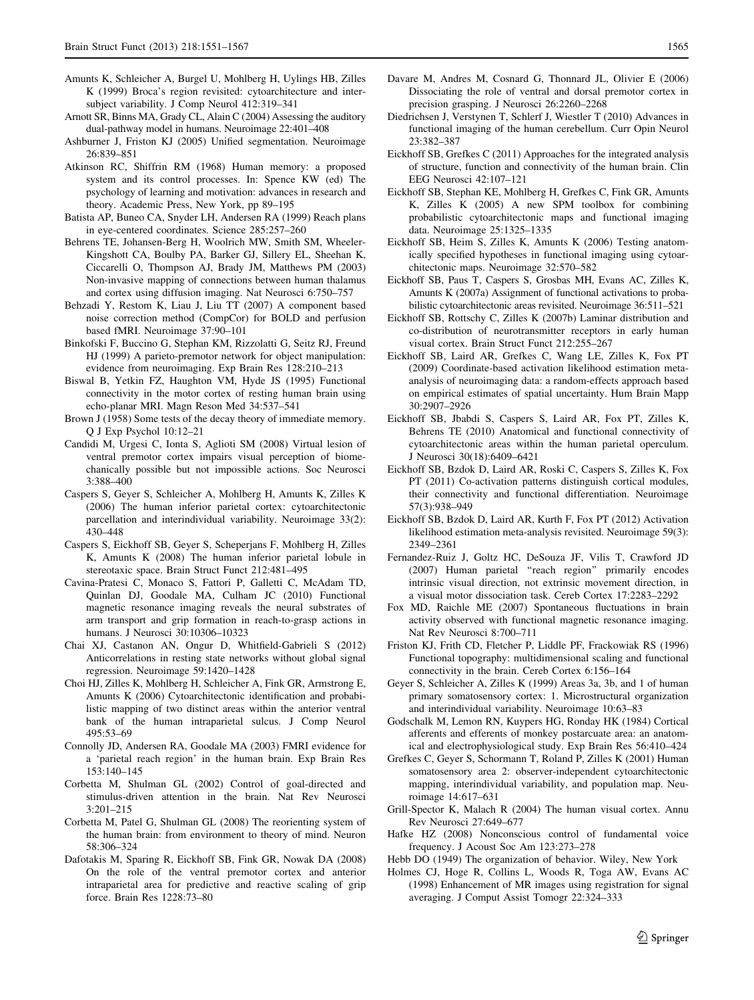- <span id="page-14-0"></span>Amunts K, Schleicher A, Burgel U, Mohlberg H, Uylings HB, Zilles K (1999) Broca's region revisited: cytoarchitecture and intersubject variability. J Comp Neurol 412:319–341
- Arnott SR, Binns MA, Grady CL, Alain C (2004) Assessing the auditory dual-pathway model in humans. Neuroimage 22:401–408
- Ashburner J, Friston KJ (2005) Unified segmentation. Neuroimage 26:839–851
- Atkinson RC, Shiffrin RM (1968) Human memory: a proposed system and its control processes. In: Spence KW (ed) The psychology of learning and motivation: advances in research and theory. Academic Press, New York, pp 89–195
- Batista AP, Buneo CA, Snyder LH, Andersen RA (1999) Reach plans in eye-centered coordinates. Science 285:257–260
- Behrens TE, Johansen-Berg H, Woolrich MW, Smith SM, Wheeler-Kingshott CA, Boulby PA, Barker GJ, Sillery EL, Sheehan K, Ciccarelli O, Thompson AJ, Brady JM, Matthews PM (2003) Non-invasive mapping of connections between human thalamus and cortex using diffusion imaging. Nat Neurosci 6:750–757
- Behzadi Y, Restom K, Liau J, Liu TT (2007) A component based noise correction method (CompCor) for BOLD and perfusion based fMRI. Neuroimage 37:90–101
- Binkofski F, Buccino G, Stephan KM, Rizzolatti G, Seitz RJ, Freund HJ (1999) A parieto-premotor network for object manipulation: evidence from neuroimaging. Exp Brain Res 128:210–213
- Biswal B, Yetkin FZ, Haughton VM, Hyde JS (1995) Functional connectivity in the motor cortex of resting human brain using echo-planar MRI. Magn Reson Med 34:537–541
- Brown J (1958) Some tests of the decay theory of immediate memory. Q J Exp Psychol 10:12–21
- Candidi M, Urgesi C, Ionta S, Aglioti SM (2008) Virtual lesion of ventral premotor cortex impairs visual perception of biomechanically possible but not impossible actions. Soc Neurosci 3:388–400
- Caspers S, Geyer S, Schleicher A, Mohlberg H, Amunts K, Zilles K (2006) The human inferior parietal cortex: cytoarchitectonic parcellation and interindividual variability. Neuroimage 33(2): 430–448
- Caspers S, Eickhoff SB, Geyer S, Scheperjans F, Mohlberg H, Zilles K, Amunts K (2008) The human inferior parietal lobule in stereotaxic space. Brain Struct Funct 212:481–495
- Cavina-Pratesi C, Monaco S, Fattori P, Galletti C, McAdam TD, Quinlan DJ, Goodale MA, Culham JC (2010) Functional magnetic resonance imaging reveals the neural substrates of arm transport and grip formation in reach-to-grasp actions in humans. J Neurosci 30:10306–10323
- Chai XJ, Castanon AN, Ongur D, Whitfield-Gabrieli S (2012) Anticorrelations in resting state networks without global signal regression. Neuroimage 59:1420–1428
- Choi HJ, Zilles K, Mohlberg H, Schleicher A, Fink GR, Armstrong E, Amunts K (2006) Cytoarchitectonic identification and probabilistic mapping of two distinct areas within the anterior ventral bank of the human intraparietal sulcus. J Comp Neurol 495:53–69
- Connolly JD, Andersen RA, Goodale MA (2003) FMRI evidence for a 'parietal reach region' in the human brain. Exp Brain Res 153:140–145
- Corbetta M, Shulman GL (2002) Control of goal-directed and stimulus-driven attention in the brain. Nat Rev Neurosci 3:201–215
- Corbetta M, Patel G, Shulman GL (2008) The reorienting system of the human brain: from environment to theory of mind. Neuron 58:306–324
- Dafotakis M, Sparing R, Eickhoff SB, Fink GR, Nowak DA (2008) On the role of the ventral premotor cortex and anterior intraparietal area for predictive and reactive scaling of grip force. Brain Res 1228:73–80
- Davare M, Andres M, Cosnard G, Thonnard JL, Olivier E (2006) Dissociating the role of ventral and dorsal premotor cortex in precision grasping. J Neurosci 26:2260–2268
- Diedrichsen J, Verstynen T, Schlerf J, Wiestler T (2010) Advances in functional imaging of the human cerebellum. Curr Opin Neurol 23:382–387
- Eickhoff SB, Grefkes C (2011) Approaches for the integrated analysis of structure, function and connectivity of the human brain. Clin EEG Neurosci 42:107–121
- Eickhoff SB, Stephan KE, Mohlberg H, Grefkes C, Fink GR, Amunts K, Zilles K (2005) A new SPM toolbox for combining probabilistic cytoarchitectonic maps and functional imaging data. Neuroimage 25:1325–1335
- Eickhoff SB, Heim S, Zilles K, Amunts K (2006) Testing anatomically specified hypotheses in functional imaging using cytoarchitectonic maps. Neuroimage 32:570–582
- Eickhoff SB, Paus T, Caspers S, Grosbas MH, Evans AC, Zilles K, Amunts K (2007a) Assignment of functional activations to probabilistic cytoarchitectonic areas revisited. Neuroimage 36:511–521
- Eickhoff SB, Rottschy C, Zilles K (2007b) Laminar distribution and co-distribution of neurotransmitter receptors in early human visual cortex. Brain Struct Funct 212:255–267
- Eickhoff SB, Laird AR, Grefkes C, Wang LE, Zilles K, Fox PT (2009) Coordinate-based activation likelihood estimation metaanalysis of neuroimaging data: a random-effects approach based on empirical estimates of spatial uncertainty. Hum Brain Mapp 30:2907–2926
- Eickhoff SB, Jbabdi S, Caspers S, Laird AR, Fox PT, Zilles K, Behrens TE (2010) Anatomical and functional connectivity of cytoarchitectonic areas within the human parietal operculum. J Neurosci 30(18):6409–6421
- Eickhoff SB, Bzdok D, Laird AR, Roski C, Caspers S, Zilles K, Fox PT (2011) Co-activation patterns distinguish cortical modules, their connectivity and functional differentiation. Neuroimage 57(3):938–949
- Eickhoff SB, Bzdok D, Laird AR, Kurth F, Fox PT (2012) Activation likelihood estimation meta-analysis revisited. Neuroimage 59(3): 2349–2361
- Fernandez-Ruiz J, Goltz HC, DeSouza JF, Vilis T, Crawford JD (2007) Human parietal ''reach region'' primarily encodes intrinsic visual direction, not extrinsic movement direction, in a visual motor dissociation task. Cereb Cortex 17:2283–2292
- Fox MD, Raichle ME (2007) Spontaneous fluctuations in brain activity observed with functional magnetic resonance imaging. Nat Rev Neurosci 8:700–711
- Friston KJ, Frith CD, Fletcher P, Liddle PF, Frackowiak RS (1996) Functional topography: multidimensional scaling and functional connectivity in the brain. Cereb Cortex 6:156–164
- Geyer S, Schleicher A, Zilles K (1999) Areas 3a, 3b, and 1 of human primary somatosensory cortex: 1. Microstructural organization and interindividual variability. Neuroimage 10:63–83
- Godschalk M, Lemon RN, Kuypers HG, Ronday HK (1984) Cortical afferents and efferents of monkey postarcuate area: an anatomical and electrophysiological study. Exp Brain Res 56:410–424
- Grefkes C, Geyer S, Schormann T, Roland P, Zilles K (2001) Human somatosensory area 2: observer-independent cytoarchitectonic mapping, interindividual variability, and population map. Neuroimage 14:617–631
- Grill-Spector K, Malach R (2004) The human visual cortex. Annu Rev Neurosci 27:649–677
- Hafke HZ (2008) Nonconscious control of fundamental voice frequency. J Acoust Soc Am 123:273–278
- Hebb DO (1949) The organization of behavior. Wiley, New York
- Holmes CJ, Hoge R, Collins L, Woods R, Toga AW, Evans AC (1998) Enhancement of MR images using registration for signal averaging. J Comput Assist Tomogr 22:324–333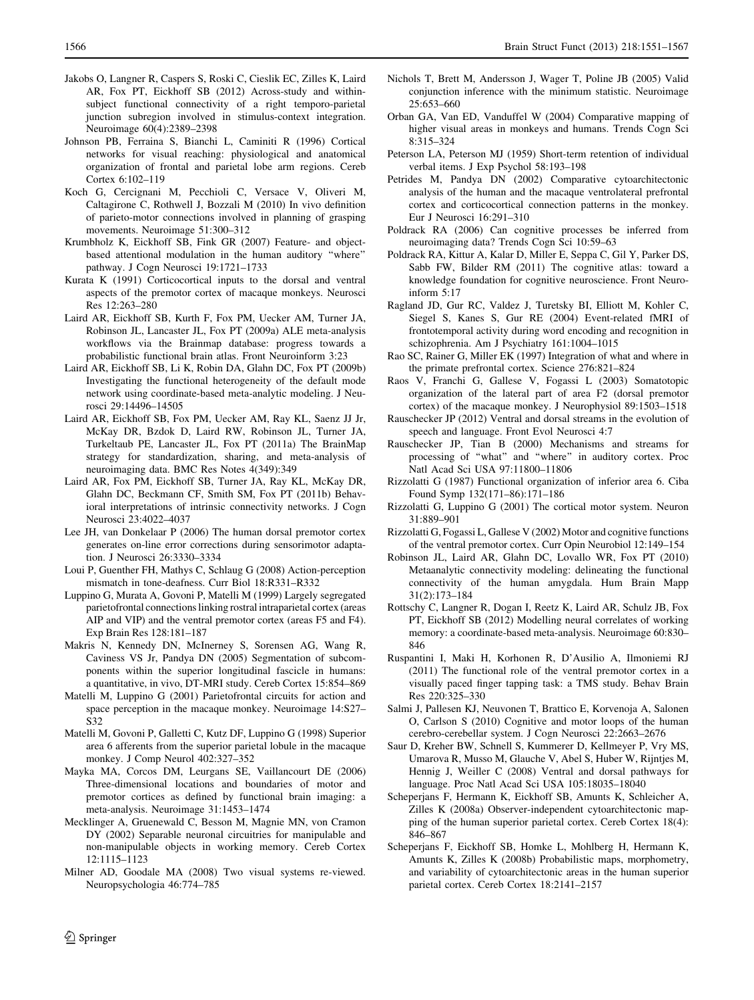- <span id="page-15-0"></span>Jakobs O, Langner R, Caspers S, Roski C, Cieslik EC, Zilles K, Laird AR, Fox PT, Eickhoff SB (2012) Across-study and withinsubject functional connectivity of a right temporo-parietal junction subregion involved in stimulus-context integration. Neuroimage 60(4):2389–2398
- Johnson PB, Ferraina S, Bianchi L, Caminiti R (1996) Cortical networks for visual reaching: physiological and anatomical organization of frontal and parietal lobe arm regions. Cereb Cortex 6:102–119
- Koch G, Cercignani M, Pecchioli C, Versace V, Oliveri M, Caltagirone C, Rothwell J, Bozzali M (2010) In vivo definition of parieto-motor connections involved in planning of grasping movements. Neuroimage 51:300–312
- Krumbholz K, Eickhoff SB, Fink GR (2007) Feature- and objectbased attentional modulation in the human auditory ''where'' pathway. J Cogn Neurosci 19:1721–1733
- Kurata K (1991) Corticocortical inputs to the dorsal and ventral aspects of the premotor cortex of macaque monkeys. Neurosci Res 12:263–280
- Laird AR, Eickhoff SB, Kurth F, Fox PM, Uecker AM, Turner JA, Robinson JL, Lancaster JL, Fox PT (2009a) ALE meta-analysis workflows via the Brainmap database: progress towards a probabilistic functional brain atlas. Front Neuroinform 3:23
- Laird AR, Eickhoff SB, Li K, Robin DA, Glahn DC, Fox PT (2009b) Investigating the functional heterogeneity of the default mode network using coordinate-based meta-analytic modeling. J Neurosci 29:14496–14505
- Laird AR, Eickhoff SB, Fox PM, Uecker AM, Ray KL, Saenz JJ Jr, McKay DR, Bzdok D, Laird RW, Robinson JL, Turner JA, Turkeltaub PE, Lancaster JL, Fox PT (2011a) The BrainMap strategy for standardization, sharing, and meta-analysis of neuroimaging data. BMC Res Notes 4(349):349
- Laird AR, Fox PM, Eickhoff SB, Turner JA, Ray KL, McKay DR, Glahn DC, Beckmann CF, Smith SM, Fox PT (2011b) Behavioral interpretations of intrinsic connectivity networks. J Cogn Neurosci 23:4022–4037
- Lee JH, van Donkelaar P (2006) The human dorsal premotor cortex generates on-line error corrections during sensorimotor adaptation. J Neurosci 26:3330–3334
- Loui P, Guenther FH, Mathys C, Schlaug G (2008) Action-perception mismatch in tone-deafness. Curr Biol 18:R331–R332
- Luppino G, Murata A, Govoni P, Matelli M (1999) Largely segregated parietofrontal connections linking rostral intraparietal cortex (areas AIP and VIP) and the ventral premotor cortex (areas F5 and F4). Exp Brain Res 128:181–187
- Makris N, Kennedy DN, McInerney S, Sorensen AG, Wang R, Caviness VS Jr, Pandya DN (2005) Segmentation of subcomponents within the superior longitudinal fascicle in humans: a quantitative, in vivo, DT-MRI study. Cereb Cortex 15:854–869
- Matelli M, Luppino G (2001) Parietofrontal circuits for action and space perception in the macaque monkey. Neuroimage 14:S27– S32
- Matelli M, Govoni P, Galletti C, Kutz DF, Luppino G (1998) Superior area 6 afferents from the superior parietal lobule in the macaque monkey. J Comp Neurol 402:327–352
- Mayka MA, Corcos DM, Leurgans SE, Vaillancourt DE (2006) Three-dimensional locations and boundaries of motor and premotor cortices as defined by functional brain imaging: a meta-analysis. Neuroimage 31:1453–1474
- Mecklinger A, Gruenewald C, Besson M, Magnie MN, von Cramon DY (2002) Separable neuronal circuitries for manipulable and non-manipulable objects in working memory. Cereb Cortex 12:1115–1123
- Milner AD, Goodale MA (2008) Two visual systems re-viewed. Neuropsychologia 46:774–785
- Nichols T, Brett M, Andersson J, Wager T, Poline JB (2005) Valid conjunction inference with the minimum statistic. Neuroimage 25:653–660
- Orban GA, Van ED, Vanduffel W (2004) Comparative mapping of higher visual areas in monkeys and humans. Trends Cogn Sci 8:315–324
- Peterson LA, Peterson MJ (1959) Short-term retention of individual verbal items. J Exp Psychol 58:193–198
- Petrides M, Pandya DN (2002) Comparative cytoarchitectonic analysis of the human and the macaque ventrolateral prefrontal cortex and corticocortical connection patterns in the monkey. Eur J Neurosci 16:291–310
- Poldrack RA (2006) Can cognitive processes be inferred from neuroimaging data? Trends Cogn Sci 10:59–63
- Poldrack RA, Kittur A, Kalar D, Miller E, Seppa C, Gil Y, Parker DS, Sabb FW, Bilder RM (2011) The cognitive atlas: toward a knowledge foundation for cognitive neuroscience. Front Neuroinform 5:17
- Ragland JD, Gur RC, Valdez J, Turetsky BI, Elliott M, Kohler C, Siegel S, Kanes S, Gur RE (2004) Event-related fMRI of frontotemporal activity during word encoding and recognition in schizophrenia. Am J Psychiatry 161:1004–1015
- Rao SC, Rainer G, Miller EK (1997) Integration of what and where in the primate prefrontal cortex. Science 276:821–824
- Raos V, Franchi G, Gallese V, Fogassi L (2003) Somatotopic organization of the lateral part of area F2 (dorsal premotor cortex) of the macaque monkey. J Neurophysiol 89:1503–1518
- Rauschecker JP (2012) Ventral and dorsal streams in the evolution of speech and language. Front Evol Neurosci 4:7
- Rauschecker JP, Tian B (2000) Mechanisms and streams for processing of ''what'' and ''where'' in auditory cortex. Proc Natl Acad Sci USA 97:11800–11806
- Rizzolatti G (1987) Functional organization of inferior area 6. Ciba Found Symp 132(171–86):171–186
- Rizzolatti G, Luppino G (2001) The cortical motor system. Neuron 31:889–901
- Rizzolatti G, Fogassi L, Gallese V (2002) Motor and cognitive functions of the ventral premotor cortex. Curr Opin Neurobiol 12:149–154
- Robinson JL, Laird AR, Glahn DC, Lovallo WR, Fox PT (2010) Metaanalytic connectivity modeling: delineating the functional connectivity of the human amygdala. Hum Brain Mapp 31(2):173–184
- Rottschy C, Langner R, Dogan I, Reetz K, Laird AR, Schulz JB, Fox PT, Eickhoff SB (2012) Modelling neural correlates of working memory: a coordinate-based meta-analysis. Neuroimage 60:830– 846
- Ruspantini I, Maki H, Korhonen R, D'Ausilio A, Ilmoniemi RJ (2011) The functional role of the ventral premotor cortex in a visually paced finger tapping task: a TMS study. Behav Brain Res 220:325–330
- Salmi J, Pallesen KJ, Neuvonen T, Brattico E, Korvenoja A, Salonen O, Carlson S (2010) Cognitive and motor loops of the human cerebro-cerebellar system. J Cogn Neurosci 22:2663–2676
- Saur D, Kreher BW, Schnell S, Kummerer D, Kellmeyer P, Vry MS, Umarova R, Musso M, Glauche V, Abel S, Huber W, Rijntjes M, Hennig J, Weiller C (2008) Ventral and dorsal pathways for language. Proc Natl Acad Sci USA 105:18035–18040
- Scheperjans F, Hermann K, Eickhoff SB, Amunts K, Schleicher A, Zilles K (2008a) Observer-independent cytoarchitectonic mapping of the human superior parietal cortex. Cereb Cortex 18(4): 846–867
- Scheperjans F, Eickhoff SB, Homke L, Mohlberg H, Hermann K, Amunts K, Zilles K (2008b) Probabilistic maps, morphometry, and variability of cytoarchitectonic areas in the human superior parietal cortex. Cereb Cortex 18:2141–2157